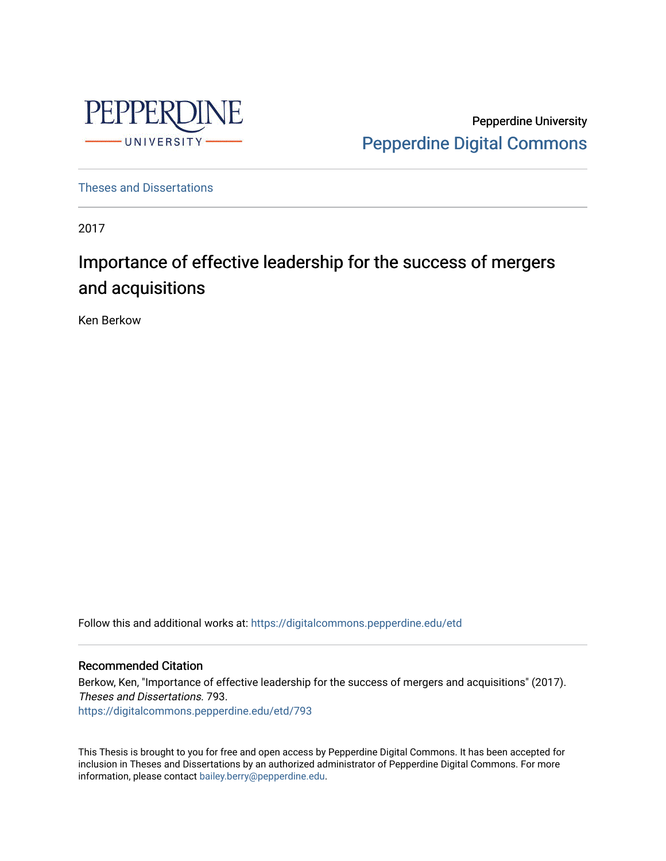

Pepperdine University [Pepperdine Digital Commons](https://digitalcommons.pepperdine.edu/) 

[Theses and Dissertations](https://digitalcommons.pepperdine.edu/etd)

2017

# Importance of effective leadership for the success of mergers and acquisitions

Ken Berkow

Follow this and additional works at: [https://digitalcommons.pepperdine.edu/etd](https://digitalcommons.pepperdine.edu/etd?utm_source=digitalcommons.pepperdine.edu%2Fetd%2F793&utm_medium=PDF&utm_campaign=PDFCoverPages) 

# Recommended Citation

Berkow, Ken, "Importance of effective leadership for the success of mergers and acquisitions" (2017). Theses and Dissertations. 793. [https://digitalcommons.pepperdine.edu/etd/793](https://digitalcommons.pepperdine.edu/etd/793?utm_source=digitalcommons.pepperdine.edu%2Fetd%2F793&utm_medium=PDF&utm_campaign=PDFCoverPages) 

This Thesis is brought to you for free and open access by Pepperdine Digital Commons. It has been accepted for inclusion in Theses and Dissertations by an authorized administrator of Pepperdine Digital Commons. For more information, please contact [bailey.berry@pepperdine.edu.](mailto:bailey.berry@pepperdine.edu)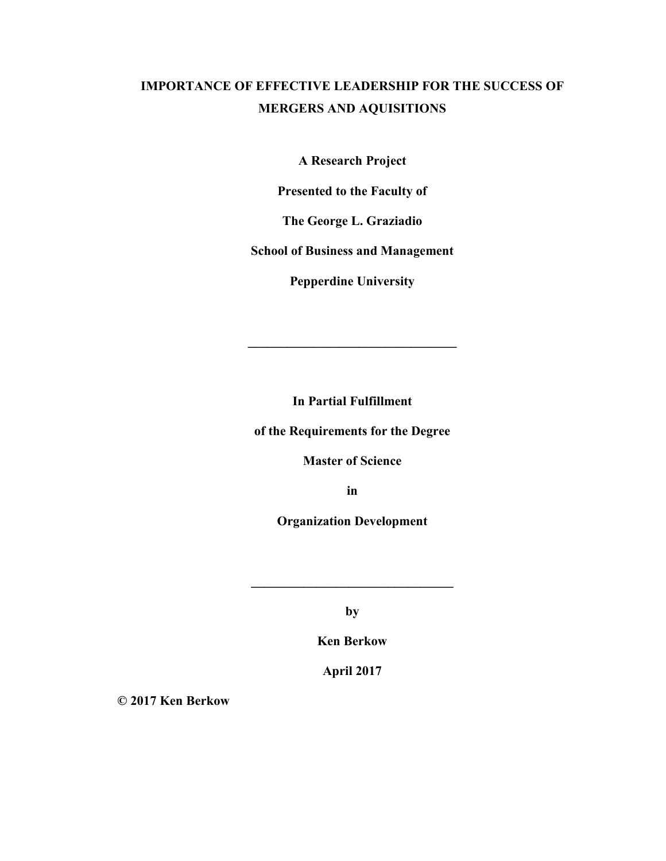# **IMPORTANCE OF EFFECTIVE LEADERSHIP FOR THE SUCCESS OF MERGERS AND AQUISITIONS**

**A Research Project** 

**Presented to the Faculty of** 

**The George L. Graziadio** 

**School of Business and Management** 

**Pepperdine University** 

**In Partial Fulfillment** 

**\_\_\_\_\_\_\_\_\_\_\_\_\_\_\_\_\_\_\_\_\_\_\_\_\_\_\_\_\_\_\_\_** 

**of the Requirements for the Degree** 

**Master of Science** 

**in** 

**Organization Development** 

**by** 

**\_\_\_\_\_\_\_\_\_\_\_\_\_\_\_\_\_\_\_\_\_\_\_\_\_\_\_\_\_\_\_** 

**Ken Berkow** 

**April 2017** 

**© 2017 Ken Berkow**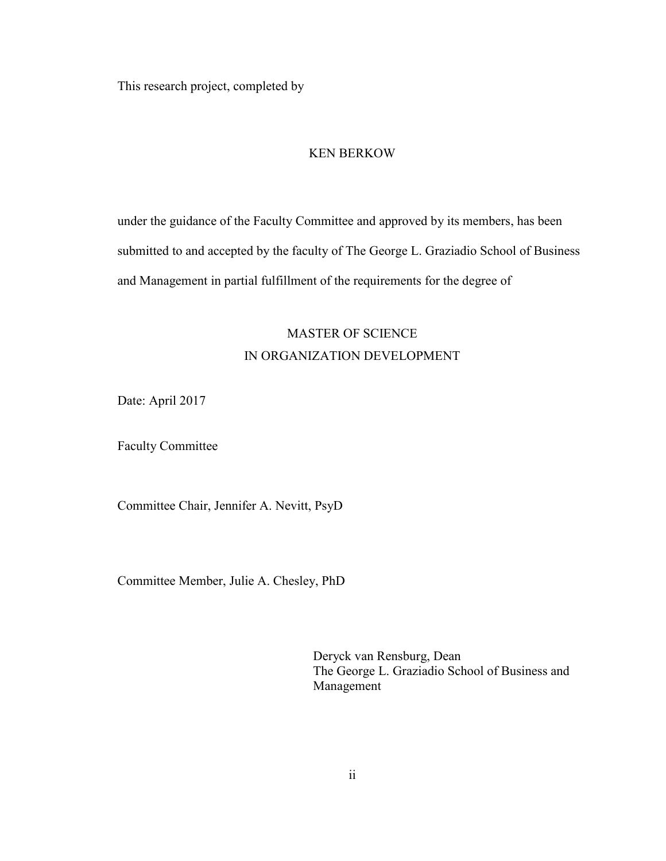This research project, completed by

#### KEN BERKOW

under the guidance of the Faculty Committee and approved by its members, has been submitted to and accepted by the faculty of The George L. Graziadio School of Business and Management in partial fulfillment of the requirements for the degree of

# MASTER OF SCIENCE IN ORGANIZATION DEVELOPMENT

Date: April 2017

Faculty Committee

Committee Chair, Jennifer A. Nevitt, PsyD

Committee Member, Julie A. Chesley, PhD

Deryck van Rensburg, Dean The George L. Graziadio School of Business and Management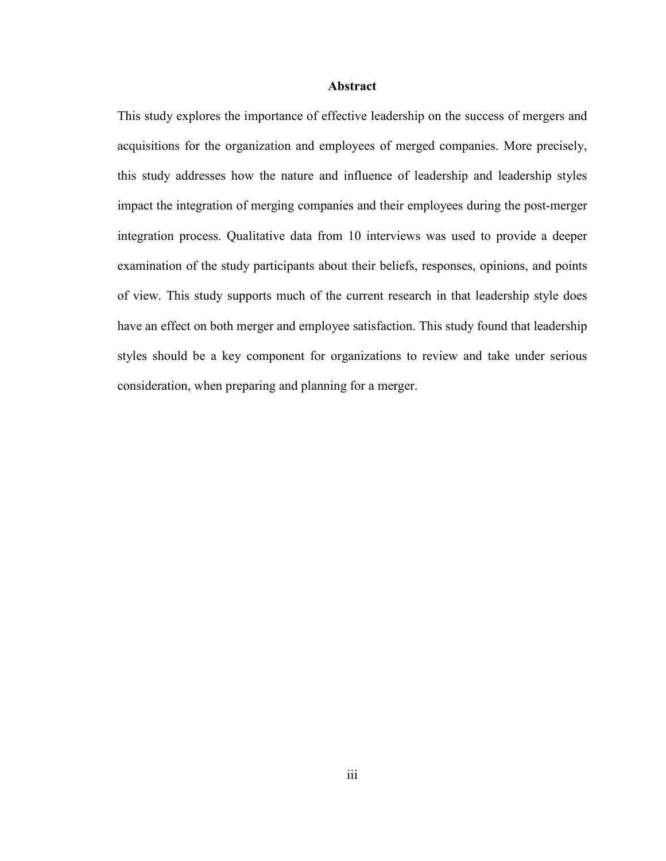#### **Abstract**

This study explores the importance of effective leadership on the success of mergers and acquisitions for the organization and employees of merged companies. More precisely, this study addresses how the nature and influence of leadership and leadership styles impact the integration of merging companies and their employees during the post-merger integration process. Qualitative data from 10 interviews was used to provide a deeper examination of the study participants about their beliefs, responses, opinions, and points of view. This study supports much of the current research in that leadership style does have an effect on both merger and employee satisfaction. This study found that leadership styles should be a key component for organizations to review and take under serious consideration, when preparing and planning for a merger.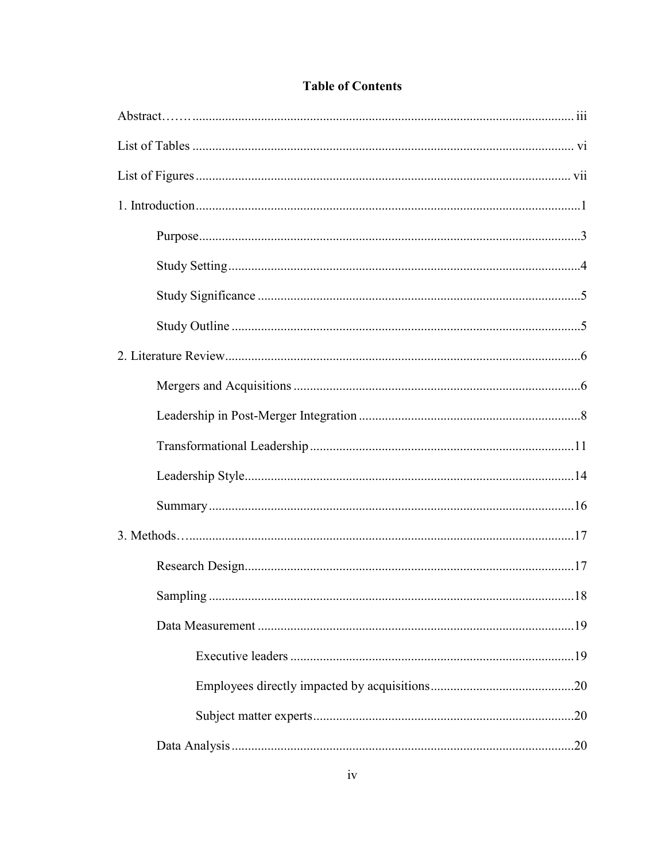| .18 |
|-----|
|     |
|     |
|     |
|     |
|     |

# **Table of Contents**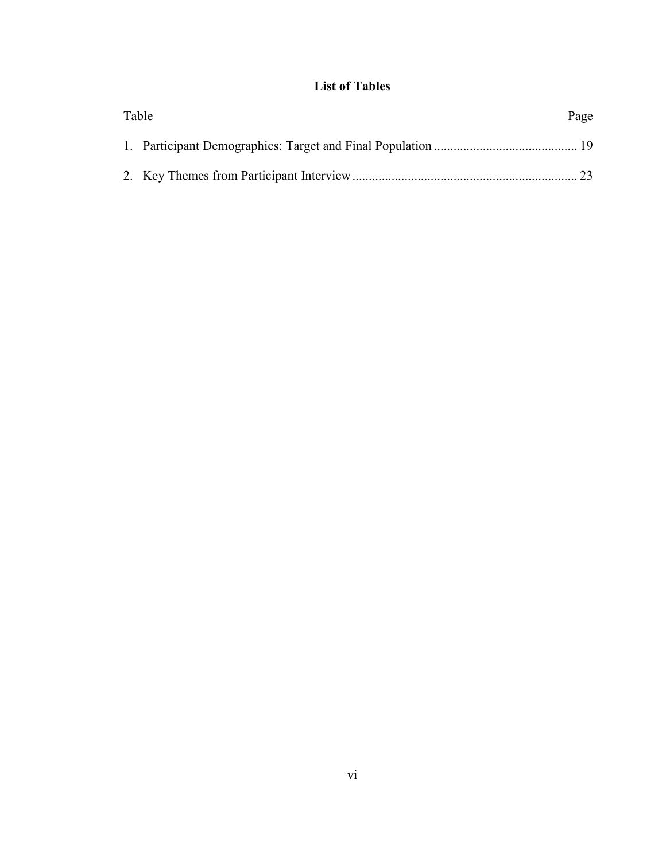# **List of Tables**

| Table | Page |
|-------|------|
|       |      |
|       |      |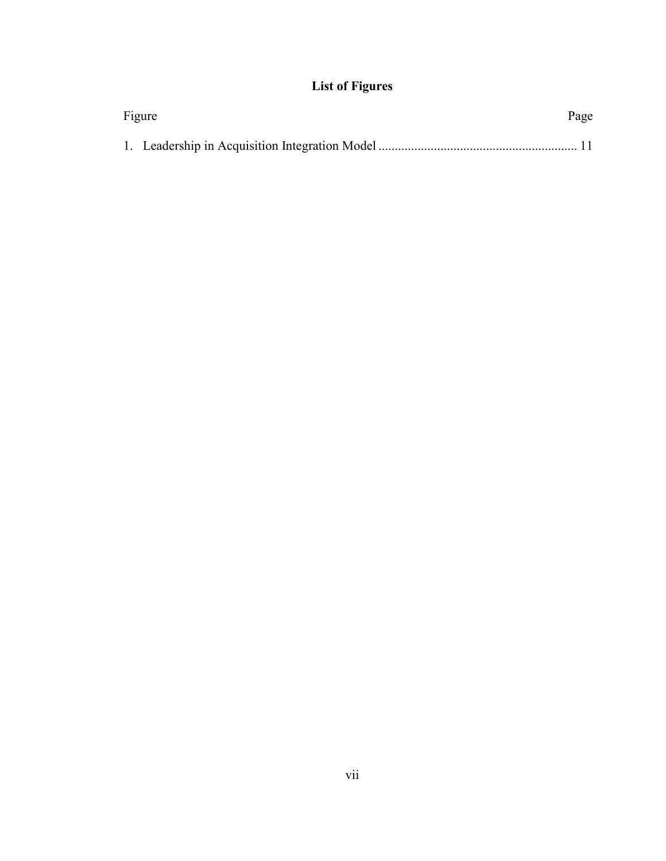# **List of Figures**

| Figure |  |  |
|--------|--|--|
|        |  |  |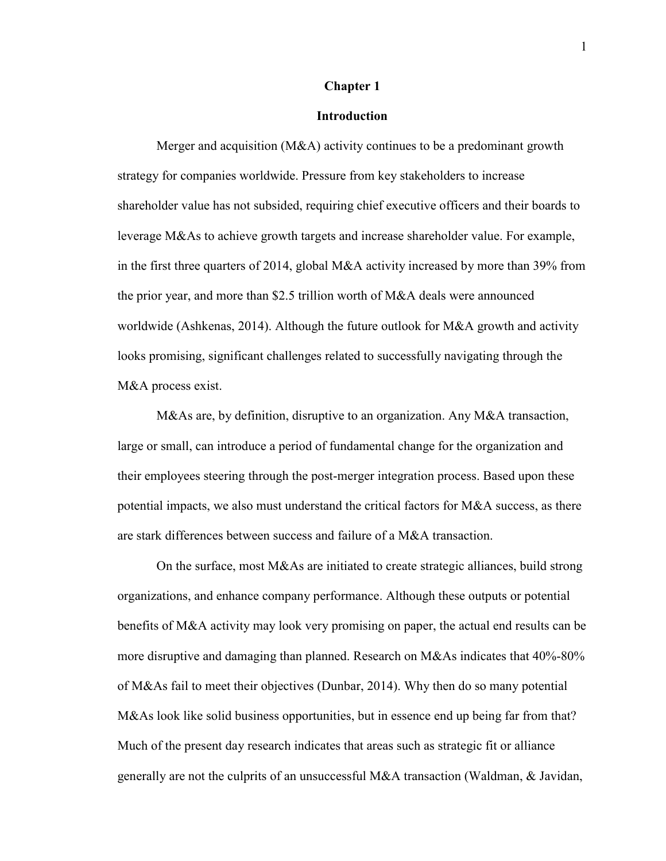#### **Chapter 1**

#### **Introduction**

Merger and acquisition (M&A) activity continues to be a predominant growth strategy for companies worldwide. Pressure from key stakeholders to increase shareholder value has not subsided, requiring chief executive officers and their boards to leverage M&As to achieve growth targets and increase shareholder value. For example, in the first three quarters of 2014, global M&A activity increased by more than 39% from the prior year, and more than \$2.5 trillion worth of M&A deals were announced worldwide (Ashkenas, 2014). Although the future outlook for M&A growth and activity looks promising, significant challenges related to successfully navigating through the M&A process exist.

M&As are, by definition, disruptive to an organization. Any M&A transaction, large or small, can introduce a period of fundamental change for the organization and their employees steering through the post-merger integration process. Based upon these potential impacts, we also must understand the critical factors for M&A success, as there are stark differences between success and failure of a M&A transaction.

On the surface, most M&As are initiated to create strategic alliances, build strong organizations, and enhance company performance. Although these outputs or potential benefits of M&A activity may look very promising on paper, the actual end results can be more disruptive and damaging than planned. Research on M&As indicates that 40%-80% of M&As fail to meet their objectives (Dunbar, 2014). Why then do so many potential M&As look like solid business opportunities, but in essence end up being far from that? Much of the present day research indicates that areas such as strategic fit or alliance generally are not the culprits of an unsuccessful M&A transaction (Waldman, & Javidan,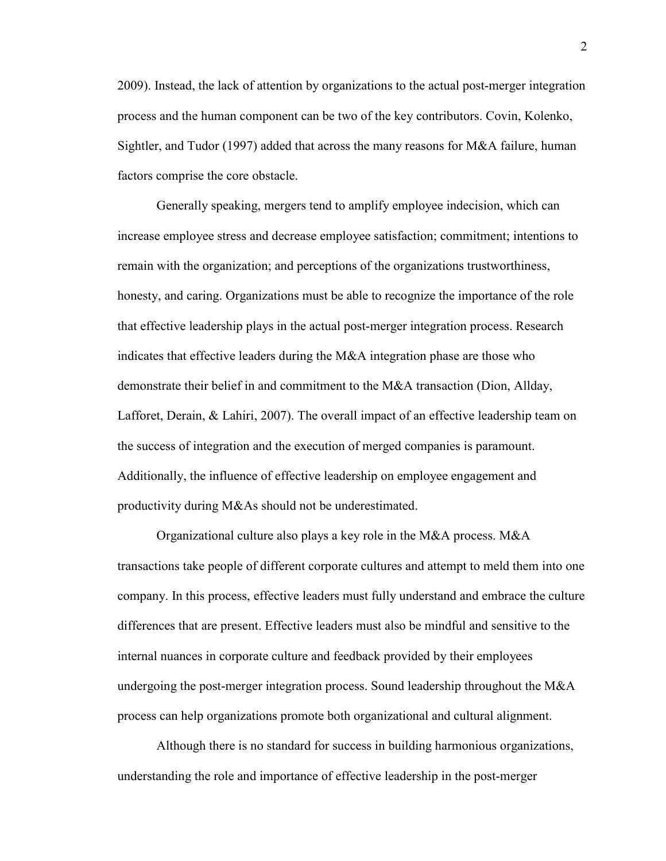2009). Instead, the lack of attention by organizations to the actual post-merger integration process and the human component can be two of the key contributors. Covin, Kolenko, Sightler, and Tudor (1997) added that across the many reasons for M&A failure, human factors comprise the core obstacle.

Generally speaking, mergers tend to amplify employee indecision, which can increase employee stress and decrease employee satisfaction; commitment; intentions to remain with the organization; and perceptions of the organizations trustworthiness, honesty, and caring. Organizations must be able to recognize the importance of the role that effective leadership plays in the actual post-merger integration process. Research indicates that effective leaders during the M&A integration phase are those who demonstrate their belief in and commitment to the M&A transaction (Dion, Allday, Lafforet, Derain, & Lahiri, 2007). The overall impact of an effective leadership team on the success of integration and the execution of merged companies is paramount. Additionally, the influence of effective leadership on employee engagement and productivity during M&As should not be underestimated.

Organizational culture also plays a key role in the M&A process. M&A transactions take people of different corporate cultures and attempt to meld them into one company. In this process, effective leaders must fully understand and embrace the culture differences that are present. Effective leaders must also be mindful and sensitive to the internal nuances in corporate culture and feedback provided by their employees undergoing the post-merger integration process. Sound leadership throughout the M&A process can help organizations promote both organizational and cultural alignment.

Although there is no standard for success in building harmonious organizations, understanding the role and importance of effective leadership in the post-merger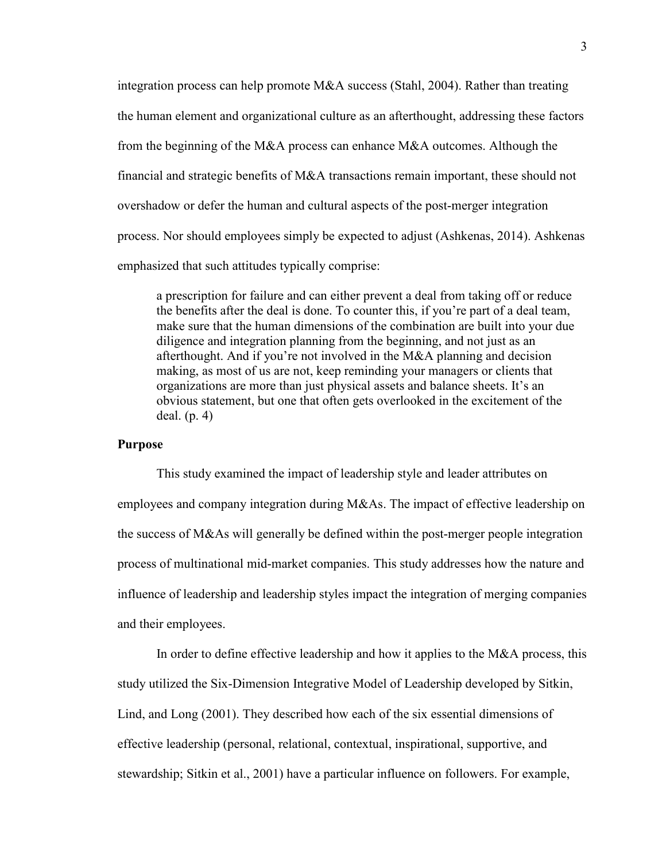integration process can help promote M&A success (Stahl, 2004). Rather than treating the human element and organizational culture as an afterthought, addressing these factors from the beginning of the M&A process can enhance M&A outcomes. Although the financial and strategic benefits of M&A transactions remain important, these should not overshadow or defer the human and cultural aspects of the post-merger integration process. Nor should employees simply be expected to adjust (Ashkenas, 2014). Ashkenas emphasized that such attitudes typically comprise:

a prescription for failure and can either prevent a deal from taking off or reduce the benefits after the deal is done. To counter this, if you're part of a deal team, make sure that the human dimensions of the combination are built into your due diligence and integration planning from the beginning, and not just as an afterthought. And if you're not involved in the M&A planning and decision making, as most of us are not, keep reminding your managers or clients that organizations are more than just physical assets and balance sheets. It's an obvious statement, but one that often gets overlooked in the excitement of the deal. (p. 4)

#### **Purpose**

This study examined the impact of leadership style and leader attributes on employees and company integration during M&As. The impact of effective leadership on the success of M&As will generally be defined within the post-merger people integration process of multinational mid-market companies. This study addresses how the nature and influence of leadership and leadership styles impact the integration of merging companies and their employees.

In order to define effective leadership and how it applies to the M&A process, this study utilized the Six-Dimension Integrative Model of Leadership developed by Sitkin, Lind, and Long (2001). They described how each of the six essential dimensions of effective leadership (personal, relational, contextual, inspirational, supportive, and stewardship; Sitkin et al., 2001) have a particular influence on followers. For example,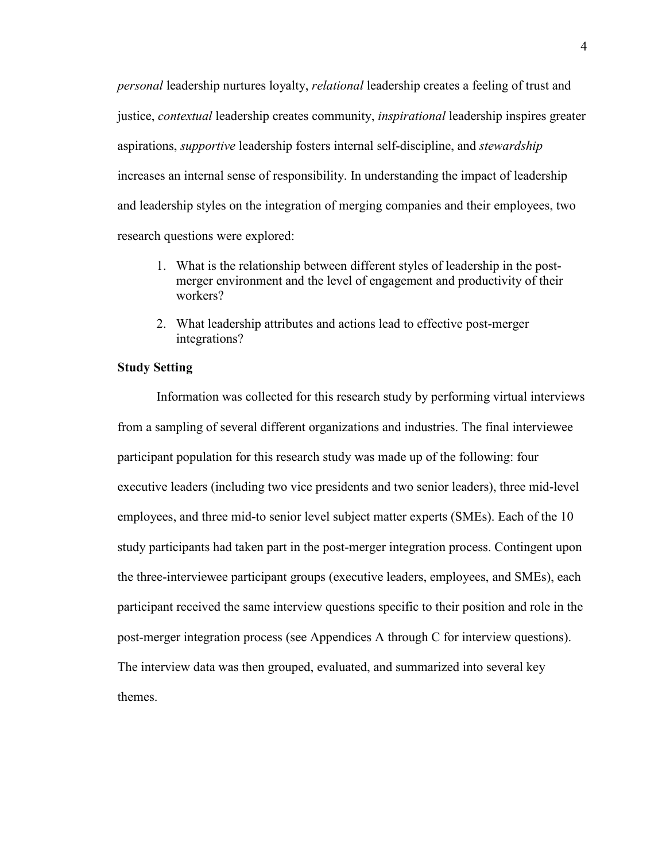*personal* leadership nurtures loyalty, *relational* leadership creates a feeling of trust and justice, *contextual* leadership creates community, *inspirational* leadership inspires greater aspirations, *supportive* leadership fosters internal self-discipline, and *stewardship* increases an internal sense of responsibility. In understanding the impact of leadership and leadership styles on the integration of merging companies and their employees, two research questions were explored:

- 1. What is the relationship between different styles of leadership in the postmerger environment and the level of engagement and productivity of their workers?
- 2. What leadership attributes and actions lead to effective post-merger integrations?

# **Study Setting**

Information was collected for this research study by performing virtual interviews from a sampling of several different organizations and industries. The final interviewee participant population for this research study was made up of the following: four executive leaders (including two vice presidents and two senior leaders), three mid-level employees, and three mid-to senior level subject matter experts (SMEs). Each of the 10 study participants had taken part in the post-merger integration process. Contingent upon the three-interviewee participant groups (executive leaders, employees, and SMEs), each participant received the same interview questions specific to their position and role in the post-merger integration process (see Appendices A through C for interview questions). The interview data was then grouped, evaluated, and summarized into several key themes.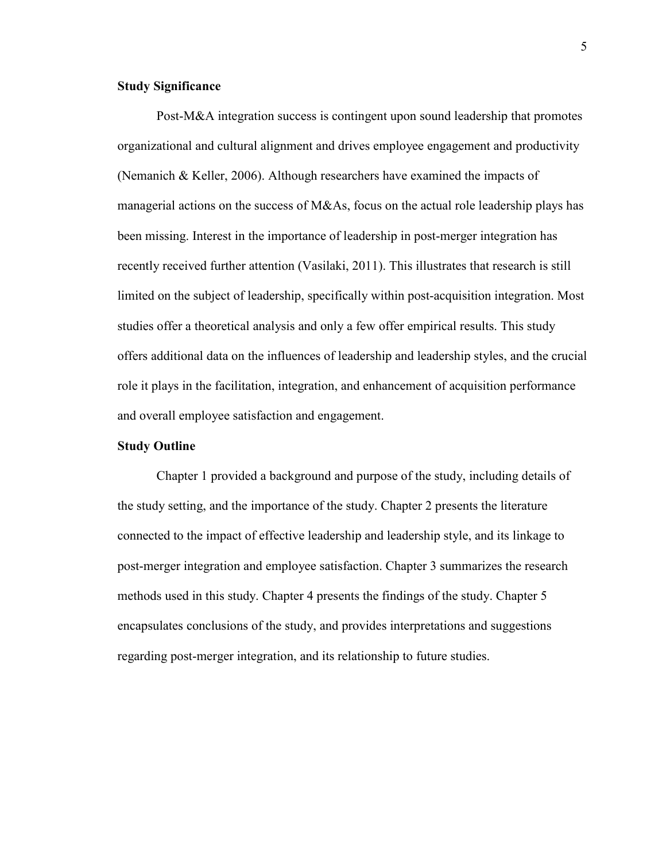# **Study Significance**

Post-M&A integration success is contingent upon sound leadership that promotes organizational and cultural alignment and drives employee engagement and productivity (Nemanich & Keller, 2006). Although researchers have examined the impacts of managerial actions on the success of M&As, focus on the actual role leadership plays has been missing. Interest in the importance of leadership in post-merger integration has recently received further attention (Vasilaki, 2011). This illustrates that research is still limited on the subject of leadership, specifically within post-acquisition integration. Most studies offer a theoretical analysis and only a few offer empirical results. This study offers additional data on the influences of leadership and leadership styles, and the crucial role it plays in the facilitation, integration, and enhancement of acquisition performance and overall employee satisfaction and engagement.

# **Study Outline**

Chapter 1 provided a background and purpose of the study, including details of the study setting, and the importance of the study. Chapter 2 presents the literature connected to the impact of effective leadership and leadership style, and its linkage to post-merger integration and employee satisfaction. Chapter 3 summarizes the research methods used in this study. Chapter 4 presents the findings of the study. Chapter 5 encapsulates conclusions of the study, and provides interpretations and suggestions regarding post-merger integration, and its relationship to future studies.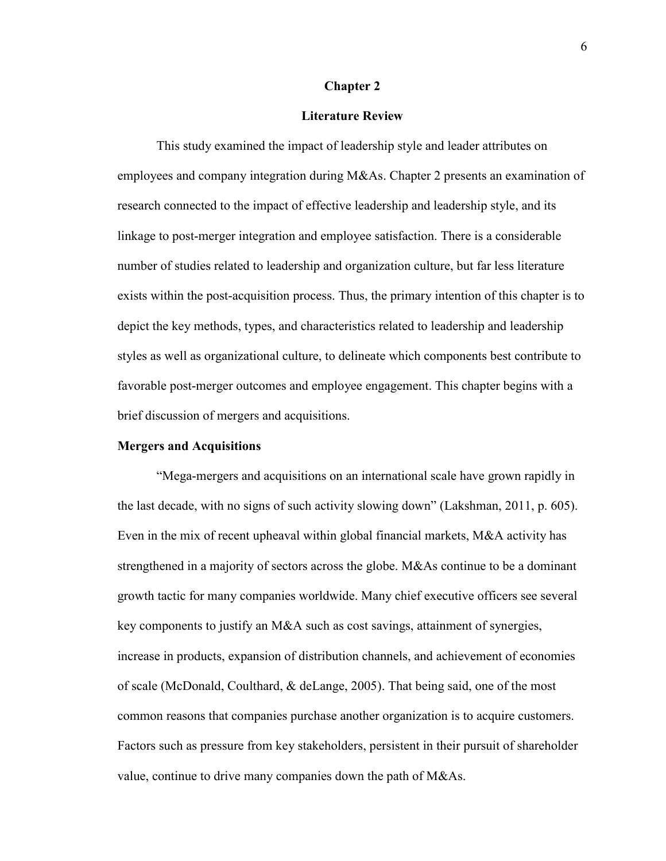#### **Chapter 2**

### **Literature Review**

This study examined the impact of leadership style and leader attributes on employees and company integration during M&As. Chapter 2 presents an examination of research connected to the impact of effective leadership and leadership style, and its linkage to post-merger integration and employee satisfaction. There is a considerable number of studies related to leadership and organization culture, but far less literature exists within the post-acquisition process. Thus, the primary intention of this chapter is to depict the key methods, types, and characteristics related to leadership and leadership styles as well as organizational culture, to delineate which components best contribute to favorable post-merger outcomes and employee engagement. This chapter begins with a brief discussion of mergers and acquisitions.

# **Mergers and Acquisitions**

"Mega-mergers and acquisitions on an international scale have grown rapidly in the last decade, with no signs of such activity slowing down" (Lakshman, 2011, p. 605). Even in the mix of recent upheaval within global financial markets, M&A activity has strengthened in a majority of sectors across the globe. M&As continue to be a dominant growth tactic for many companies worldwide. Many chief executive officers see several key components to justify an M&A such as cost savings, attainment of synergies, increase in products, expansion of distribution channels, and achievement of economies of scale (McDonald, Coulthard, & deLange, 2005). That being said, one of the most common reasons that companies purchase another organization is to acquire customers. Factors such as pressure from key stakeholders, persistent in their pursuit of shareholder value, continue to drive many companies down the path of M&As.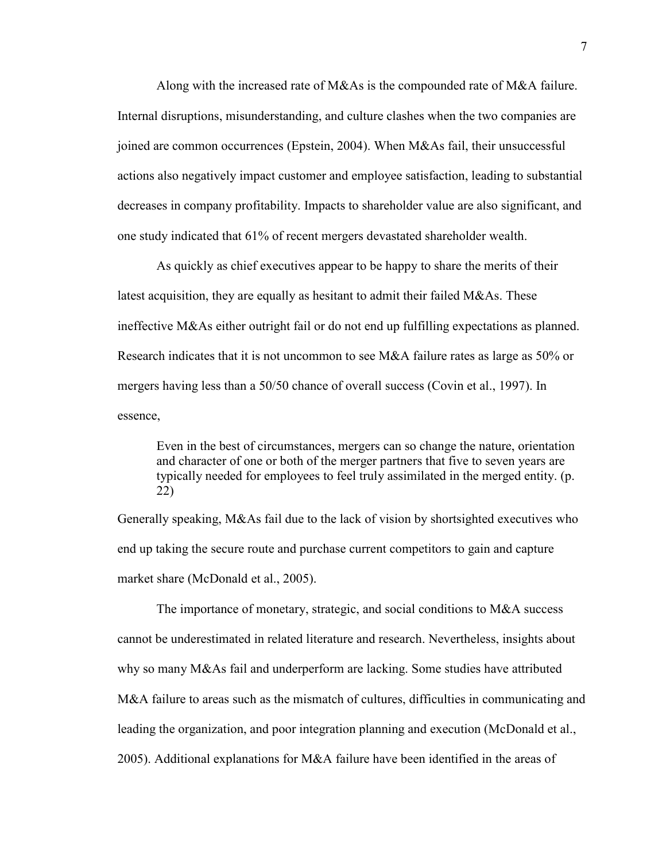Along with the increased rate of M&As is the compounded rate of M&A failure. Internal disruptions, misunderstanding, and culture clashes when the two companies are joined are common occurrences (Epstein, 2004). When M&As fail, their unsuccessful actions also negatively impact customer and employee satisfaction, leading to substantial decreases in company profitability. Impacts to shareholder value are also significant, and one study indicated that 61% of recent mergers devastated shareholder wealth.

As quickly as chief executives appear to be happy to share the merits of their latest acquisition, they are equally as hesitant to admit their failed M&As. These ineffective M&As either outright fail or do not end up fulfilling expectations as planned. Research indicates that it is not uncommon to see M&A failure rates as large as 50% or mergers having less than a 50/50 chance of overall success (Covin et al., 1997). In essence,

Even in the best of circumstances, mergers can so change the nature, orientation and character of one or both of the merger partners that five to seven years are typically needed for employees to feel truly assimilated in the merged entity. (p. 22)

Generally speaking, M&As fail due to the lack of vision by shortsighted executives who end up taking the secure route and purchase current competitors to gain and capture market share (McDonald et al., 2005).

The importance of monetary, strategic, and social conditions to M&A success cannot be underestimated in related literature and research. Nevertheless, insights about why so many M&As fail and underperform are lacking. Some studies have attributed M&A failure to areas such as the mismatch of cultures, difficulties in communicating and leading the organization, and poor integration planning and execution (McDonald et al., 2005). Additional explanations for M&A failure have been identified in the areas of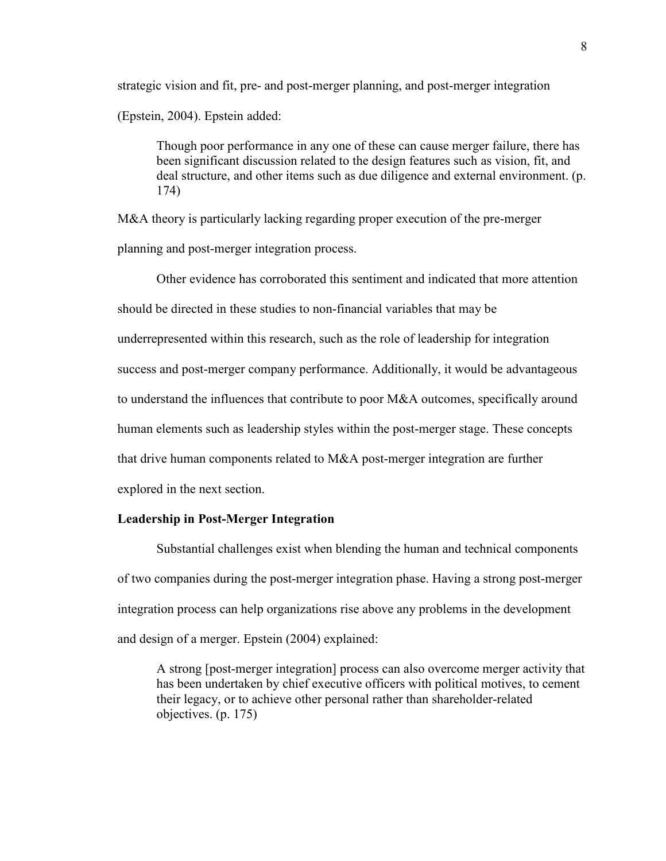strategic vision and fit, pre- and post-merger planning, and post-merger integration

(Epstein, 2004). Epstein added:

Though poor performance in any one of these can cause merger failure, there has been significant discussion related to the design features such as vision, fit, and deal structure, and other items such as due diligence and external environment. (p. 174)

M&A theory is particularly lacking regarding proper execution of the pre-merger planning and post-merger integration process.

Other evidence has corroborated this sentiment and indicated that more attention should be directed in these studies to non-financial variables that may be underrepresented within this research, such as the role of leadership for integration success and post-merger company performance. Additionally, it would be advantageous to understand the influences that contribute to poor M&A outcomes, specifically around human elements such as leadership styles within the post-merger stage. These concepts that drive human components related to M&A post-merger integration are further explored in the next section.

# **Leadership in Post-Merger Integration**

Substantial challenges exist when blending the human and technical components of two companies during the post-merger integration phase. Having a strong post-merger integration process can help organizations rise above any problems in the development and design of a merger. Epstein (2004) explained:

A strong [post-merger integration] process can also overcome merger activity that has been undertaken by chief executive officers with political motives, to cement their legacy, or to achieve other personal rather than shareholder-related objectives. (p. 175)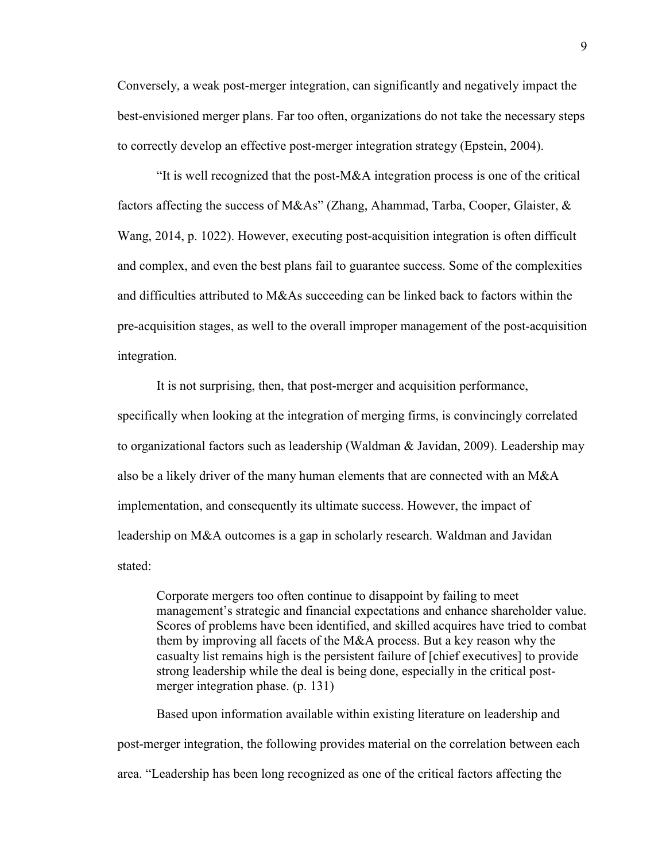Conversely, a weak post-merger integration, can significantly and negatively impact the best-envisioned merger plans. Far too often, organizations do not take the necessary steps to correctly develop an effective post-merger integration strategy (Epstein, 2004).

"It is well recognized that the post-M&A integration process is one of the critical factors affecting the success of M&As" (Zhang, Ahammad, Tarba, Cooper, Glaister, & Wang, 2014, p. 1022). However, executing post-acquisition integration is often difficult and complex, and even the best plans fail to guarantee success. Some of the complexities and difficulties attributed to M&As succeeding can be linked back to factors within the pre-acquisition stages, as well to the overall improper management of the post-acquisition integration.

It is not surprising, then, that post-merger and acquisition performance, specifically when looking at the integration of merging firms, is convincingly correlated to organizational factors such as leadership (Waldman & Javidan, 2009). Leadership may also be a likely driver of the many human elements that are connected with an M&A implementation, and consequently its ultimate success. However, the impact of leadership on M&A outcomes is a gap in scholarly research. Waldman and Javidan stated:

Corporate mergers too often continue to disappoint by failing to meet management's strategic and financial expectations and enhance shareholder value. Scores of problems have been identified, and skilled acquires have tried to combat them by improving all facets of the M&A process. But a key reason why the casualty list remains high is the persistent failure of [chief executives] to provide strong leadership while the deal is being done, especially in the critical postmerger integration phase. (p. 131)

Based upon information available within existing literature on leadership and post-merger integration, the following provides material on the correlation between each area. "Leadership has been long recognized as one of the critical factors affecting the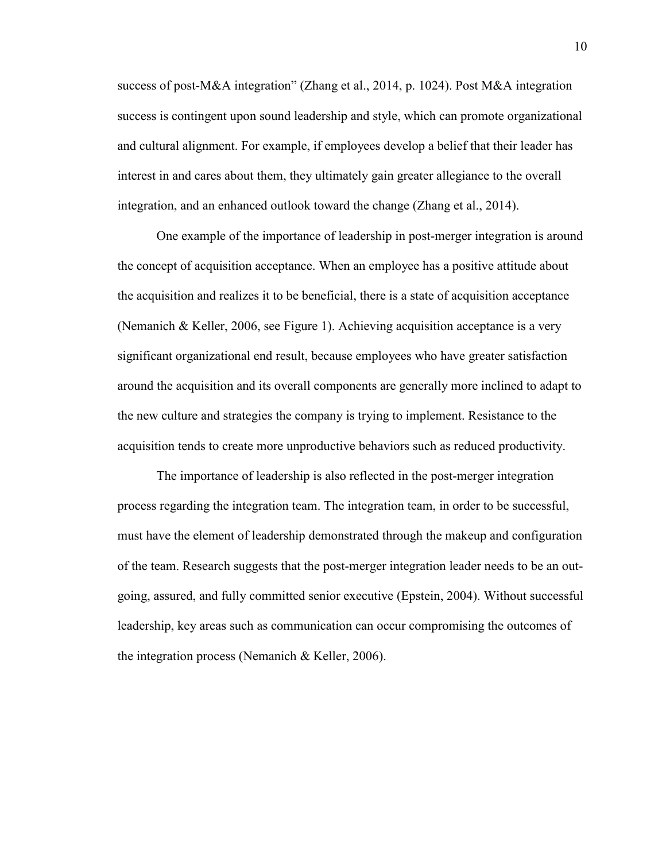success of post-M&A integration" (Zhang et al., 2014, p. 1024). Post M&A integration success is contingent upon sound leadership and style, which can promote organizational and cultural alignment. For example, if employees develop a belief that their leader has interest in and cares about them, they ultimately gain greater allegiance to the overall integration, and an enhanced outlook toward the change (Zhang et al., 2014).

One example of the importance of leadership in post-merger integration is around the concept of acquisition acceptance. When an employee has a positive attitude about the acquisition and realizes it to be beneficial, there is a state of acquisition acceptance (Nemanich & Keller, 2006, see Figure 1). Achieving acquisition acceptance is a very significant organizational end result, because employees who have greater satisfaction around the acquisition and its overall components are generally more inclined to adapt to the new culture and strategies the company is trying to implement. Resistance to the acquisition tends to create more unproductive behaviors such as reduced productivity.

The importance of leadership is also reflected in the post-merger integration process regarding the integration team. The integration team, in order to be successful, must have the element of leadership demonstrated through the makeup and configuration of the team. Research suggests that the post-merger integration leader needs to be an outgoing, assured, and fully committed senior executive (Epstein, 2004). Without successful leadership, key areas such as communication can occur compromising the outcomes of the integration process (Nemanich & Keller, 2006).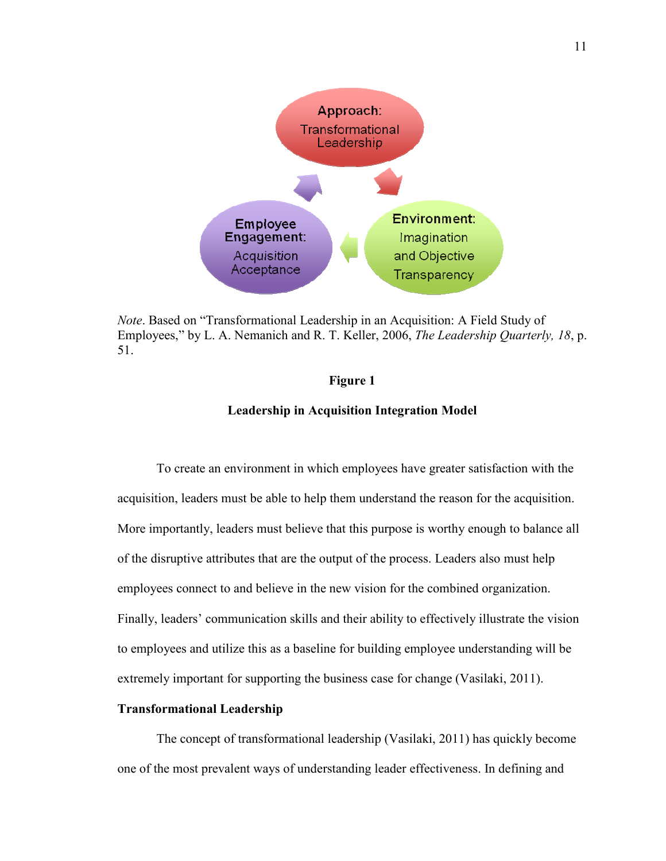

*Note*. Based on "Transformational Leadership in an Acquisition: A Field Study of Employees," by L. A. Nemanich and R. T. Keller, 2006, *The Leadership Quarterly, 18*, p. 51.

## **Figure 1**

#### **Leadership in Acquisition Integration Model**

To create an environment in which employees have greater satisfaction with the acquisition, leaders must be able to help them understand the reason for the acquisition. More importantly, leaders must believe that this purpose is worthy enough to balance all of the disruptive attributes that are the output of the process. Leaders also must help employees connect to and believe in the new vision for the combined organization. Finally, leaders' communication skills and their ability to effectively illustrate the vision to employees and utilize this as a baseline for building employee understanding will be extremely important for supporting the business case for change (Vasilaki, 2011).

# **Transformational Leadership**

The concept of transformational leadership (Vasilaki, 2011) has quickly become one of the most prevalent ways of understanding leader effectiveness. In defining and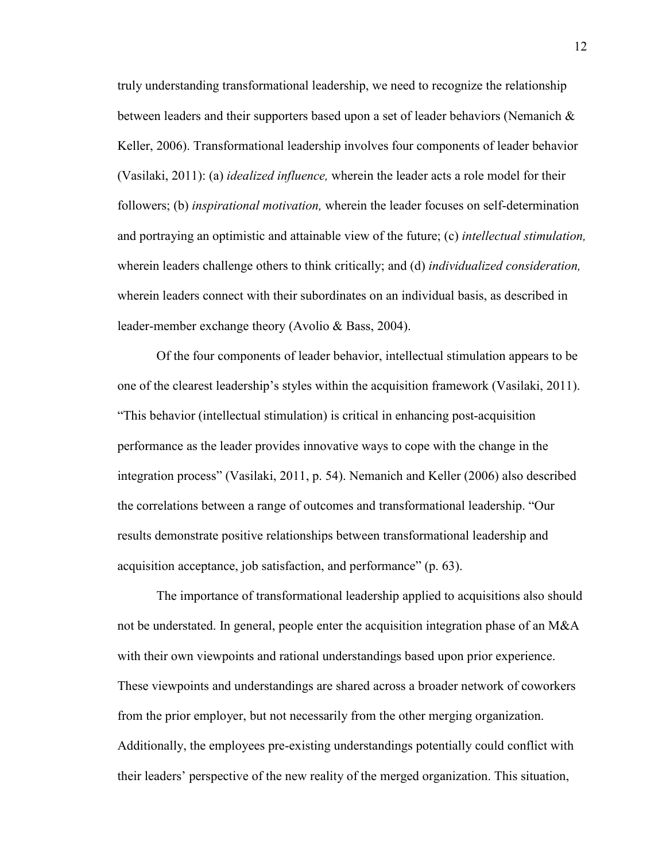truly understanding transformational leadership, we need to recognize the relationship between leaders and their supporters based upon a set of leader behaviors (Nemanich & Keller, 2006). Transformational leadership involves four components of leader behavior (Vasilaki, 2011): (a) *idealized influence,* wherein the leader acts a role model for their followers; (b) *inspirational motivation,* wherein the leader focuses on self-determination and portraying an optimistic and attainable view of the future; (c) *intellectual stimulation,* wherein leaders challenge others to think critically; and (d) *individualized consideration,*  wherein leaders connect with their subordinates on an individual basis, as described in leader-member exchange theory (Avolio & Bass, 2004).

Of the four components of leader behavior, intellectual stimulation appears to be one of the clearest leadership's styles within the acquisition framework (Vasilaki, 2011). "This behavior (intellectual stimulation) is critical in enhancing post-acquisition performance as the leader provides innovative ways to cope with the change in the integration process" (Vasilaki, 2011, p. 54). Nemanich and Keller (2006) also described the correlations between a range of outcomes and transformational leadership. "Our results demonstrate positive relationships between transformational leadership and acquisition acceptance, job satisfaction, and performance" (p. 63).

The importance of transformational leadership applied to acquisitions also should not be understated. In general, people enter the acquisition integration phase of an M&A with their own viewpoints and rational understandings based upon prior experience. These viewpoints and understandings are shared across a broader network of coworkers from the prior employer, but not necessarily from the other merging organization. Additionally, the employees pre-existing understandings potentially could conflict with their leaders' perspective of the new reality of the merged organization. This situation,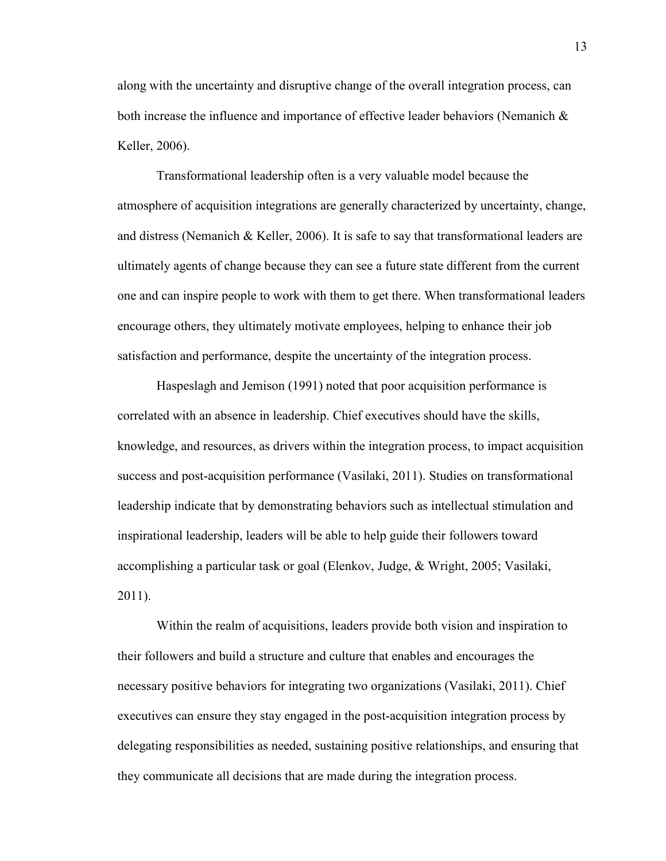along with the uncertainty and disruptive change of the overall integration process, can both increase the influence and importance of effective leader behaviors (Nemanich & Keller, 2006).

Transformational leadership often is a very valuable model because the atmosphere of acquisition integrations are generally characterized by uncertainty, change, and distress (Nemanich & Keller, 2006). It is safe to say that transformational leaders are ultimately agents of change because they can see a future state different from the current one and can inspire people to work with them to get there. When transformational leaders encourage others, they ultimately motivate employees, helping to enhance their job satisfaction and performance, despite the uncertainty of the integration process.

Haspeslagh and Jemison (1991) noted that poor acquisition performance is correlated with an absence in leadership. Chief executives should have the skills, knowledge, and resources, as drivers within the integration process, to impact acquisition success and post-acquisition performance (Vasilaki, 2011). Studies on transformational leadership indicate that by demonstrating behaviors such as intellectual stimulation and inspirational leadership, leaders will be able to help guide their followers toward accomplishing a particular task or goal (Elenkov, Judge, & Wright, 2005; Vasilaki, 2011).

Within the realm of acquisitions, leaders provide both vision and inspiration to their followers and build a structure and culture that enables and encourages the necessary positive behaviors for integrating two organizations (Vasilaki, 2011). Chief executives can ensure they stay engaged in the post-acquisition integration process by delegating responsibilities as needed, sustaining positive relationships, and ensuring that they communicate all decisions that are made during the integration process.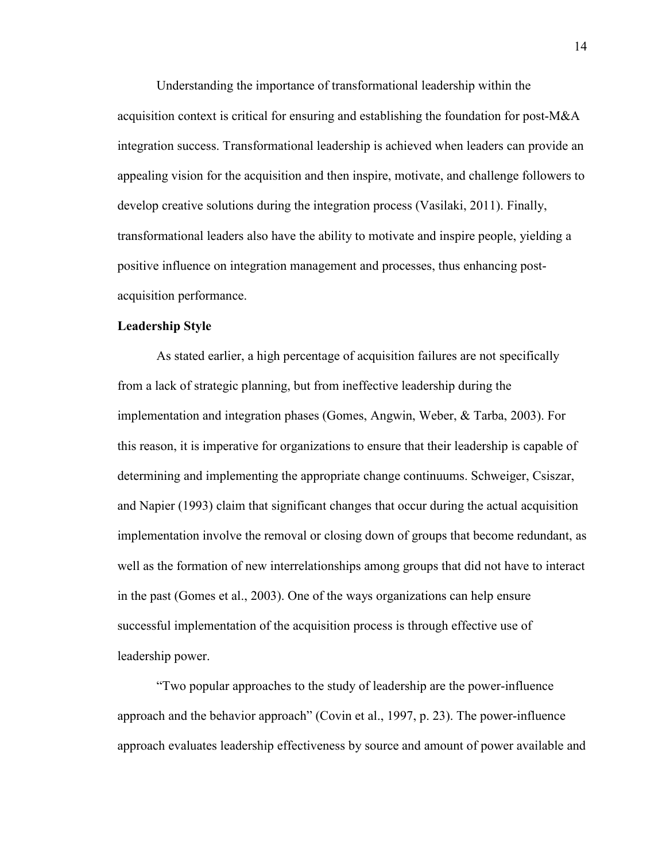Understanding the importance of transformational leadership within the acquisition context is critical for ensuring and establishing the foundation for post-M&A integration success. Transformational leadership is achieved when leaders can provide an appealing vision for the acquisition and then inspire, motivate, and challenge followers to develop creative solutions during the integration process (Vasilaki, 2011). Finally, transformational leaders also have the ability to motivate and inspire people, yielding a positive influence on integration management and processes, thus enhancing postacquisition performance.

# **Leadership Style**

As stated earlier, a high percentage of acquisition failures are not specifically from a lack of strategic planning, but from ineffective leadership during the implementation and integration phases (Gomes, Angwin, Weber, & Tarba, 2003). For this reason, it is imperative for organizations to ensure that their leadership is capable of determining and implementing the appropriate change continuums. Schweiger, Csiszar, and Napier (1993) claim that significant changes that occur during the actual acquisition implementation involve the removal or closing down of groups that become redundant, as well as the formation of new interrelationships among groups that did not have to interact in the past (Gomes et al., 2003). One of the ways organizations can help ensure successful implementation of the acquisition process is through effective use of leadership power.

"Two popular approaches to the study of leadership are the power-influence approach and the behavior approach" (Covin et al., 1997, p. 23). The power-influence approach evaluates leadership effectiveness by source and amount of power available and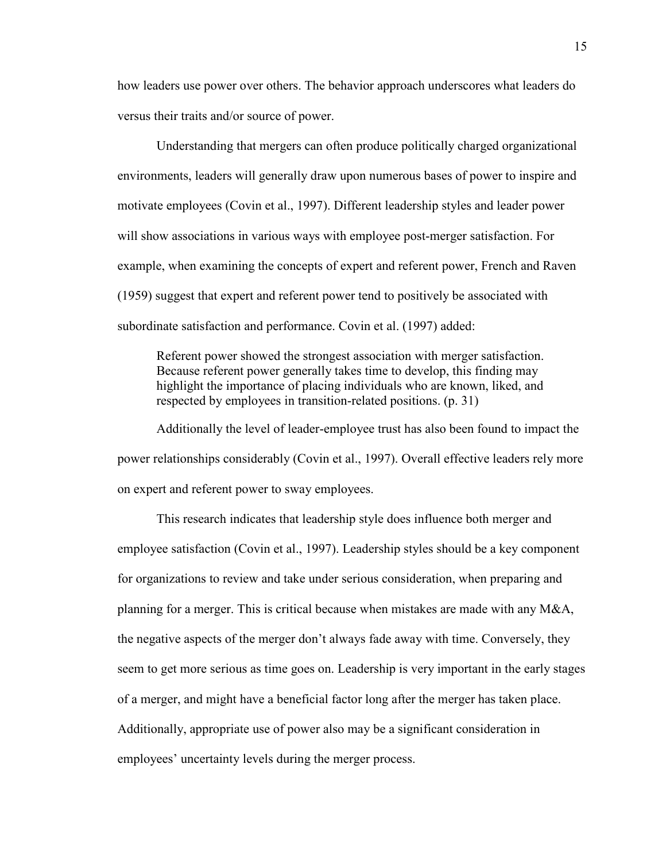how leaders use power over others. The behavior approach underscores what leaders do versus their traits and/or source of power.

Understanding that mergers can often produce politically charged organizational environments, leaders will generally draw upon numerous bases of power to inspire and motivate employees (Covin et al., 1997). Different leadership styles and leader power will show associations in various ways with employee post-merger satisfaction. For example, when examining the concepts of expert and referent power, French and Raven (1959) suggest that expert and referent power tend to positively be associated with subordinate satisfaction and performance. Covin et al. (1997) added:

Referent power showed the strongest association with merger satisfaction. Because referent power generally takes time to develop, this finding may highlight the importance of placing individuals who are known, liked, and respected by employees in transition-related positions. (p. 31)

Additionally the level of leader-employee trust has also been found to impact the power relationships considerably (Covin et al., 1997). Overall effective leaders rely more on expert and referent power to sway employees.

This research indicates that leadership style does influence both merger and employee satisfaction (Covin et al., 1997). Leadership styles should be a key component for organizations to review and take under serious consideration, when preparing and planning for a merger. This is critical because when mistakes are made with any M&A, the negative aspects of the merger don't always fade away with time. Conversely, they seem to get more serious as time goes on. Leadership is very important in the early stages of a merger, and might have a beneficial factor long after the merger has taken place. Additionally, appropriate use of power also may be a significant consideration in employees' uncertainty levels during the merger process.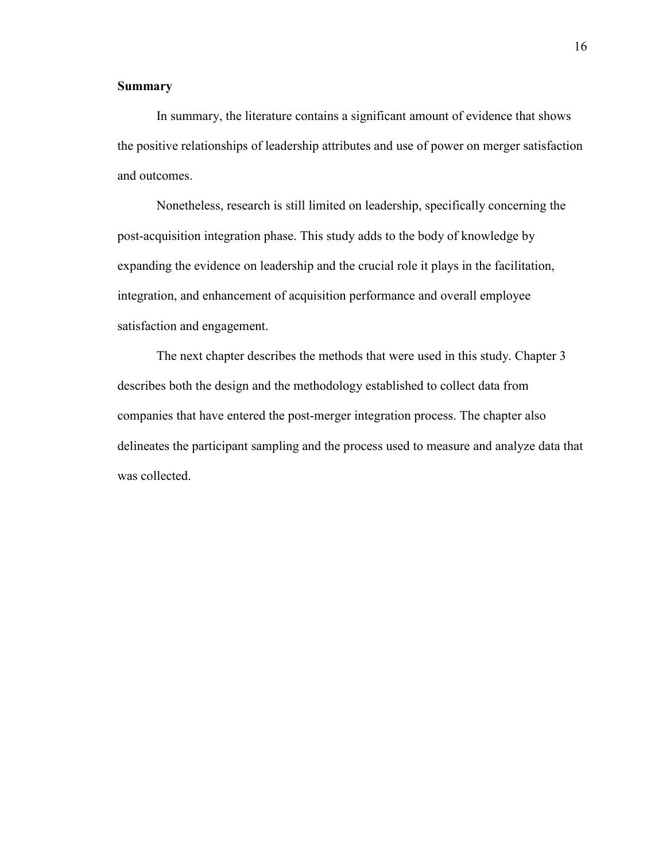# **Summary**

In summary, the literature contains a significant amount of evidence that shows the positive relationships of leadership attributes and use of power on merger satisfaction and outcomes.

Nonetheless, research is still limited on leadership, specifically concerning the post-acquisition integration phase. This study adds to the body of knowledge by expanding the evidence on leadership and the crucial role it plays in the facilitation, integration, and enhancement of acquisition performance and overall employee satisfaction and engagement.

The next chapter describes the methods that were used in this study. Chapter 3 describes both the design and the methodology established to collect data from companies that have entered the post-merger integration process. The chapter also delineates the participant sampling and the process used to measure and analyze data that was collected.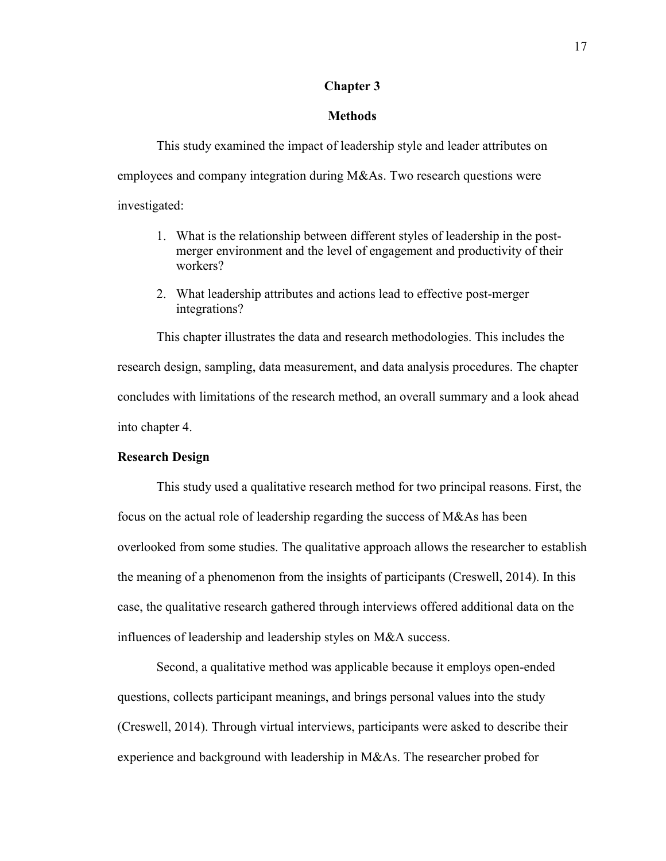# **Chapter 3**

### **Methods**

This study examined the impact of leadership style and leader attributes on employees and company integration during M&As. Two research questions were investigated:

- 1. What is the relationship between different styles of leadership in the postmerger environment and the level of engagement and productivity of their workers?
- 2. What leadership attributes and actions lead to effective post-merger integrations?

This chapter illustrates the data and research methodologies. This includes the research design, sampling, data measurement, and data analysis procedures. The chapter concludes with limitations of the research method, an overall summary and a look ahead into chapter 4.

# **Research Design**

This study used a qualitative research method for two principal reasons. First, the focus on the actual role of leadership regarding the success of M&As has been overlooked from some studies. The qualitative approach allows the researcher to establish the meaning of a phenomenon from the insights of participants (Creswell, 2014). In this case, the qualitative research gathered through interviews offered additional data on the influences of leadership and leadership styles on M&A success.

Second, a qualitative method was applicable because it employs open-ended questions, collects participant meanings, and brings personal values into the study (Creswell, 2014). Through virtual interviews, participants were asked to describe their experience and background with leadership in M&As. The researcher probed for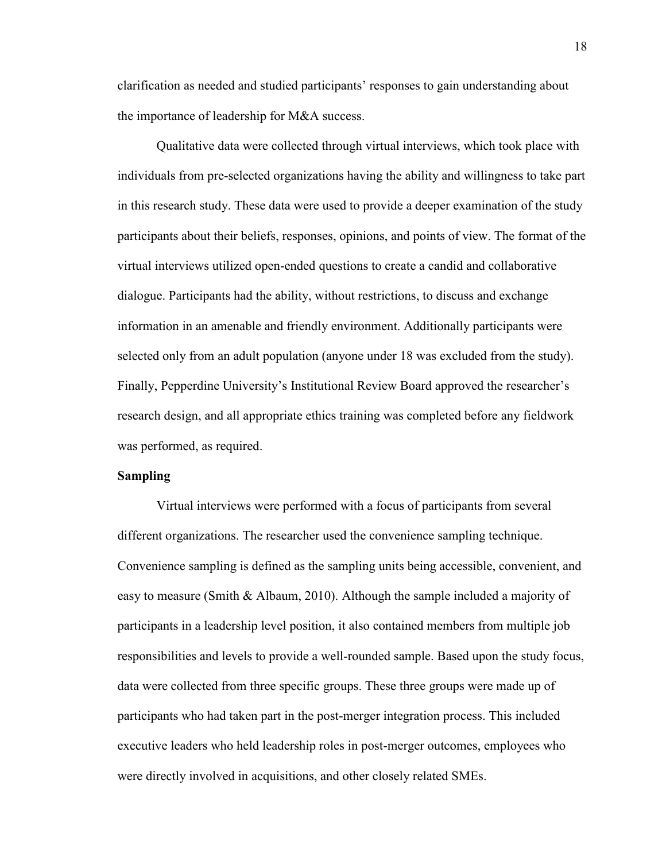clarification as needed and studied participants' responses to gain understanding about the importance of leadership for M&A success.

Qualitative data were collected through virtual interviews, which took place with individuals from pre-selected organizations having the ability and willingness to take part in this research study. These data were used to provide a deeper examination of the study participants about their beliefs, responses, opinions, and points of view. The format of the virtual interviews utilized open-ended questions to create a candid and collaborative dialogue. Participants had the ability, without restrictions, to discuss and exchange information in an amenable and friendly environment. Additionally participants were selected only from an adult population (anyone under 18 was excluded from the study). Finally, Pepperdine University's Institutional Review Board approved the researcher's research design, and all appropriate ethics training was completed before any fieldwork was performed, as required.

#### **Sampling**

Virtual interviews were performed with a focus of participants from several different organizations. The researcher used the convenience sampling technique. Convenience sampling is defined as the sampling units being accessible, convenient, and easy to measure (Smith & Albaum, 2010). Although the sample included a majority of participants in a leadership level position, it also contained members from multiple job responsibilities and levels to provide a well-rounded sample. Based upon the study focus, data were collected from three specific groups. These three groups were made up of participants who had taken part in the post-merger integration process. This included executive leaders who held leadership roles in post-merger outcomes, employees who were directly involved in acquisitions, and other closely related SMEs.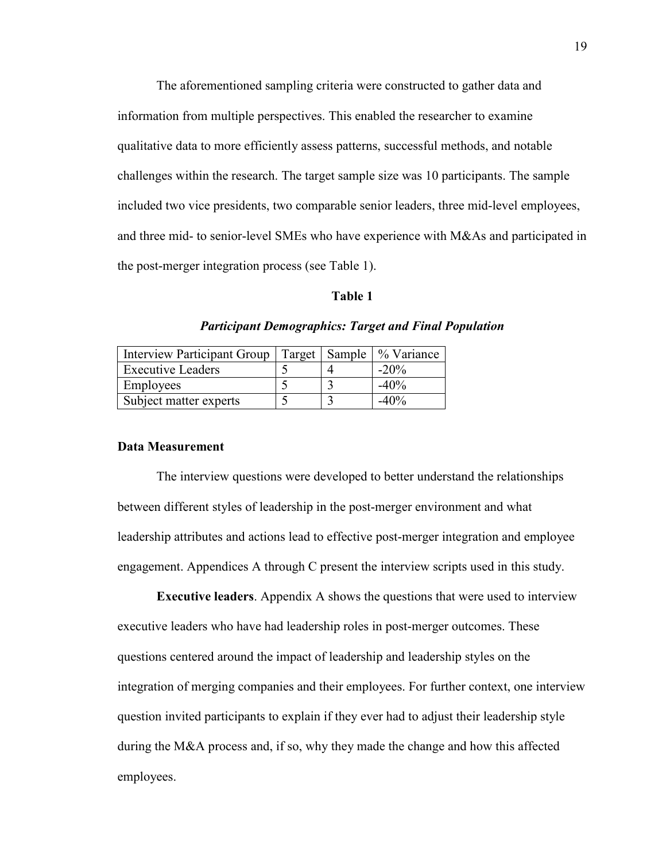The aforementioned sampling criteria were constructed to gather data and information from multiple perspectives. This enabled the researcher to examine qualitative data to more efficiently assess patterns, successful methods, and notable challenges within the research. The target sample size was 10 participants. The sample included two vice presidents, two comparable senior leaders, three mid-level employees, and three mid- to senior-level SMEs who have experience with M&As and participated in the post-merger integration process (see Table 1).

#### **Table 1**

| <b>Interview Participant Group</b> |  | Target   Sample   % Variance |
|------------------------------------|--|------------------------------|
| <b>Executive Leaders</b>           |  | $-20\%$                      |
| Employees                          |  | $-40%$                       |
| Subject matter experts             |  | $-40%$                       |

# *Participant Demographics: Target and Final Population*

# **Data Measurement**

The interview questions were developed to better understand the relationships between different styles of leadership in the post-merger environment and what leadership attributes and actions lead to effective post-merger integration and employee engagement. Appendices A through C present the interview scripts used in this study.

**Executive leaders**. Appendix A shows the questions that were used to interview executive leaders who have had leadership roles in post-merger outcomes. These questions centered around the impact of leadership and leadership styles on the integration of merging companies and their employees. For further context, one interview question invited participants to explain if they ever had to adjust their leadership style during the M&A process and, if so, why they made the change and how this affected employees.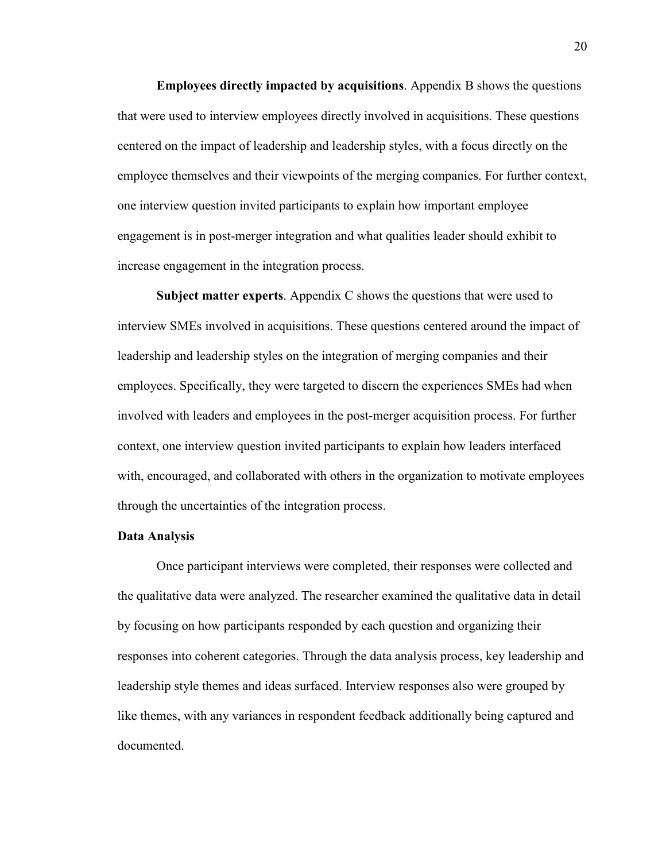**Employees directly impacted by acquisitions**. Appendix B shows the questions that were used to interview employees directly involved in acquisitions. These questions centered on the impact of leadership and leadership styles, with a focus directly on the employee themselves and their viewpoints of the merging companies. For further context, one interview question invited participants to explain how important employee engagement is in post-merger integration and what qualities leader should exhibit to increase engagement in the integration process.

**Subject matter experts**. Appendix C shows the questions that were used to interview SMEs involved in acquisitions. These questions centered around the impact of leadership and leadership styles on the integration of merging companies and their employees. Specifically, they were targeted to discern the experiences SMEs had when involved with leaders and employees in the post-merger acquisition process. For further context, one interview question invited participants to explain how leaders interfaced with, encouraged, and collaborated with others in the organization to motivate employees through the uncertainties of the integration process.

#### **Data Analysis**

Once participant interviews were completed, their responses were collected and the qualitative data were analyzed. The researcher examined the qualitative data in detail by focusing on how participants responded by each question and organizing their responses into coherent categories. Through the data analysis process, key leadership and leadership style themes and ideas surfaced. Interview responses also were grouped by like themes, with any variances in respondent feedback additionally being captured and documented.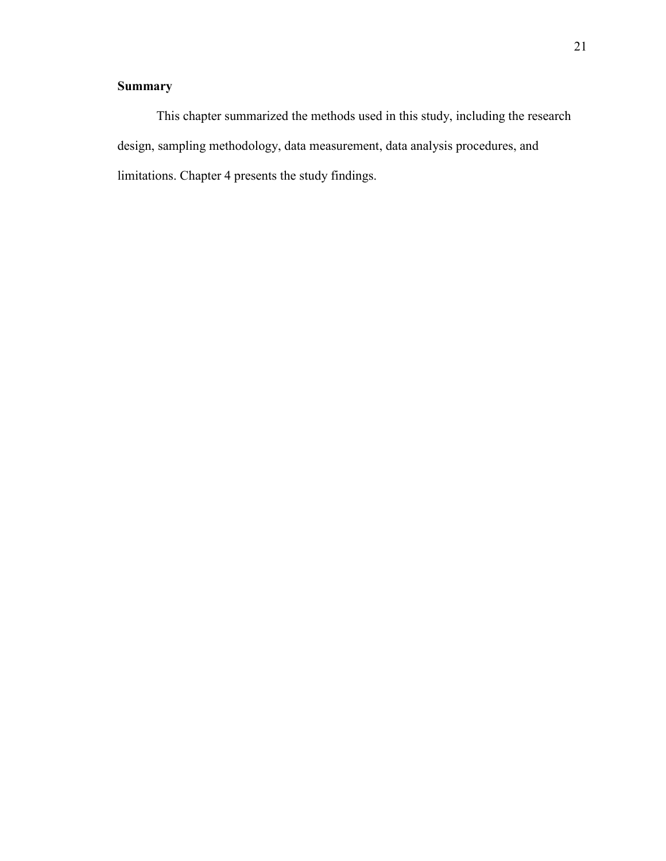# **Summary**

This chapter summarized the methods used in this study, including the research design, sampling methodology, data measurement, data analysis procedures, and limitations. Chapter 4 presents the study findings.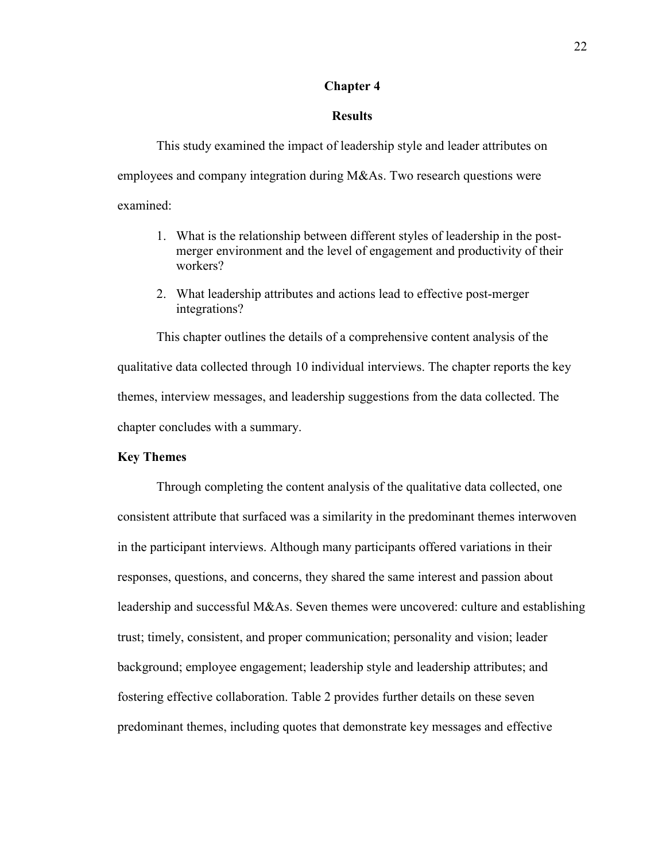# **Chapter 4**

### **Results**

This study examined the impact of leadership style and leader attributes on employees and company integration during M&As. Two research questions were examined:

- 1. What is the relationship between different styles of leadership in the postmerger environment and the level of engagement and productivity of their workers?
- 2. What leadership attributes and actions lead to effective post-merger integrations?

This chapter outlines the details of a comprehensive content analysis of the qualitative data collected through 10 individual interviews. The chapter reports the key themes, interview messages, and leadership suggestions from the data collected. The chapter concludes with a summary.

# **Key Themes**

Through completing the content analysis of the qualitative data collected, one consistent attribute that surfaced was a similarity in the predominant themes interwoven in the participant interviews. Although many participants offered variations in their responses, questions, and concerns, they shared the same interest and passion about leadership and successful M&As. Seven themes were uncovered: culture and establishing trust; timely, consistent, and proper communication; personality and vision; leader background; employee engagement; leadership style and leadership attributes; and fostering effective collaboration. Table 2 provides further details on these seven predominant themes, including quotes that demonstrate key messages and effective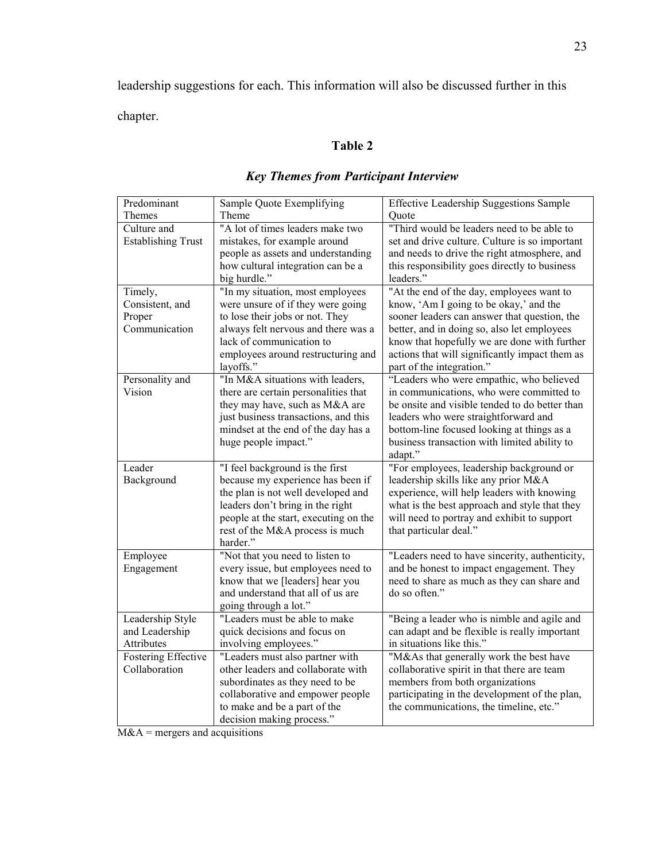leadership suggestions for each. This information will also be discussed further in this chapter.

# **Table 2**

| Predominant               | Sample Quote Exemplifying             | <b>Effective Leadership Suggestions Sample</b> |
|---------------------------|---------------------------------------|------------------------------------------------|
| Themes                    | Theme                                 | Quote                                          |
| Culture and               | "A lot of times leaders make two      | "Third would be leaders need to be able to     |
| <b>Establishing Trust</b> | mistakes, for example around          | set and drive culture. Culture is so important |
|                           | people as assets and understanding    | and needs to drive the right atmosphere, and   |
|                           | how cultural integration can be a     | this responsibility goes directly to business  |
|                           | big hurdle."                          | leaders."                                      |
| Timely,                   | "In my situation, most employees      | "At the end of the day, employees want to      |
| Consistent, and           | were unsure of if they were going     | know, 'Am I going to be okay,' and the         |
| Proper                    | to lose their jobs or not. They       | sooner leaders can answer that question, the   |
| Communication             | always felt nervous and there was a   | better, and in doing so, also let employees    |
|                           | lack of communication to              | know that hopefully we are done with further   |
|                           | employees around restructuring and    | actions that will significantly impact them as |
|                           | layoffs."                             | part of the integration."                      |
| Personality and           | "In M&A situations with leaders,      | "Leaders who were empathic, who believed       |
| Vision                    | there are certain personalities that  | in communications, who were committed to       |
|                           | they may have, such as M&A are        | be onsite and visible tended to do better than |
|                           | just business transactions, and this  | leaders who were straightforward and           |
|                           | mindset at the end of the day has a   | bottom-line focused looking at things as a     |
|                           | huge people impact."                  | business transaction with limited ability to   |
|                           |                                       | adapt."                                        |
| Leader                    | "I feel background is the first       | "For employees, leadership background or       |
| Background                | because my experience has been if     | leadership skills like any prior M&A           |
|                           | the plan is not well developed and    | experience, will help leaders with knowing     |
|                           | leaders don't bring in the right      | what is the best approach and style that they  |
|                           | people at the start, executing on the | will need to portray and exhibit to support    |
|                           | rest of the M&A process is much       | that particular deal."                         |
|                           | harder."                              |                                                |
| Employee                  | "Not that you need to listen to       | "Leaders need to have sincerity, authenticity, |
| Engagement                | every issue, but employees need to    | and be honest to impact engagement. They       |
|                           | know that we [leaders] hear you       | need to share as much as they can share and    |
|                           | and understand that all of us are     | do so often."                                  |
|                           | going through a lot."                 |                                                |
| Leadership Style          | "Leaders must be able to make         | "Being a leader who is nimble and agile and    |
| and Leadership            | quick decisions and focus on          | can adapt and be flexible is really important  |
| Attributes                | involving employees."                 | in situations like this."                      |
| Fostering Effective       | "Leaders must also partner with       | "M&As that generally work the best have        |
| Collaboration             | other leaders and collaborate with    | collaborative spirit in that there are team    |
|                           | subordinates as they need to be       | members from both organizations                |
|                           | collaborative and empower people      | participating in the development of the plan,  |
|                           | to make and be a part of the          | the communications, the timeline, etc."        |
|                           | decision making process."             |                                                |

# *Key Themes from Participant Interview*

 $M&A$  = mergers and acquisitions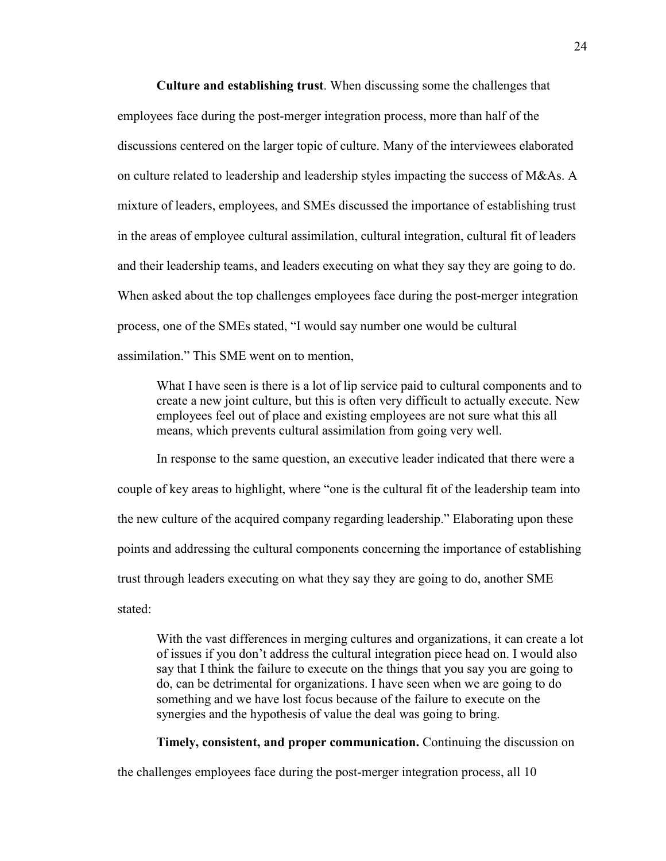**Culture and establishing trust**. When discussing some the challenges that employees face during the post-merger integration process, more than half of the discussions centered on the larger topic of culture. Many of the interviewees elaborated on culture related to leadership and leadership styles impacting the success of M&As. A mixture of leaders, employees, and SMEs discussed the importance of establishing trust in the areas of employee cultural assimilation, cultural integration, cultural fit of leaders and their leadership teams, and leaders executing on what they say they are going to do. When asked about the top challenges employees face during the post-merger integration process, one of the SMEs stated, "I would say number one would be cultural assimilation." This SME went on to mention,

What I have seen is there is a lot of lip service paid to cultural components and to create a new joint culture, but this is often very difficult to actually execute. New employees feel out of place and existing employees are not sure what this all means, which prevents cultural assimilation from going very well.

In response to the same question, an executive leader indicated that there were a couple of key areas to highlight, where "one is the cultural fit of the leadership team into the new culture of the acquired company regarding leadership." Elaborating upon these points and addressing the cultural components concerning the importance of establishing trust through leaders executing on what they say they are going to do, another SME stated:

With the vast differences in merging cultures and organizations, it can create a lot of issues if you don't address the cultural integration piece head on. I would also say that I think the failure to execute on the things that you say you are going to do, can be detrimental for organizations. I have seen when we are going to do something and we have lost focus because of the failure to execute on the synergies and the hypothesis of value the deal was going to bring.

**Timely, consistent, and proper communication.** Continuing the discussion on

the challenges employees face during the post-merger integration process, all 10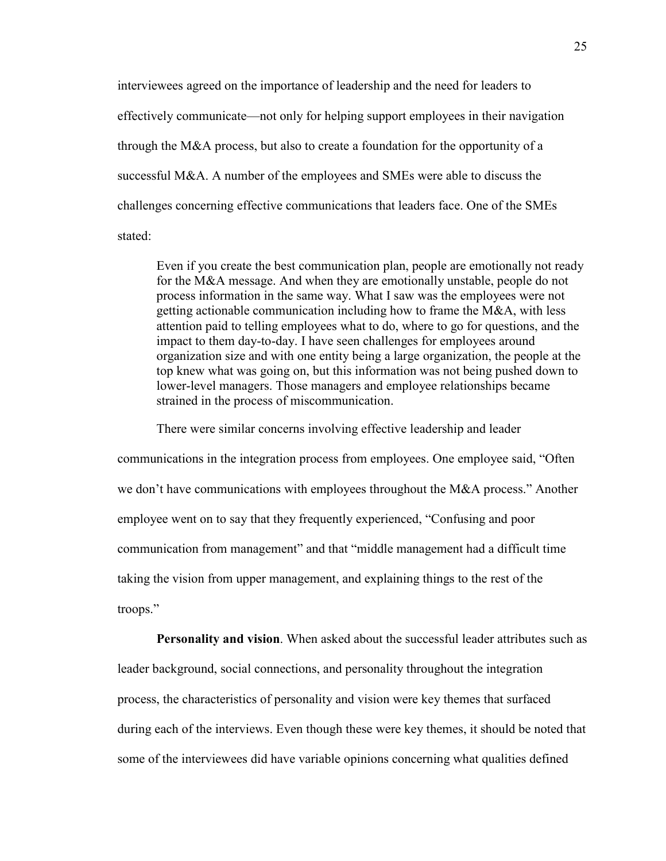interviewees agreed on the importance of leadership and the need for leaders to effectively communicate—not only for helping support employees in their navigation through the M&A process, but also to create a foundation for the opportunity of a successful M&A. A number of the employees and SMEs were able to discuss the challenges concerning effective communications that leaders face. One of the SMEs stated:

Even if you create the best communication plan, people are emotionally not ready for the M&A message. And when they are emotionally unstable, people do not process information in the same way. What I saw was the employees were not getting actionable communication including how to frame the M&A, with less attention paid to telling employees what to do, where to go for questions, and the impact to them day-to-day. I have seen challenges for employees around organization size and with one entity being a large organization, the people at the top knew what was going on, but this information was not being pushed down to lower-level managers. Those managers and employee relationships became strained in the process of miscommunication.

There were similar concerns involving effective leadership and leader

communications in the integration process from employees. One employee said, "Often we don't have communications with employees throughout the M&A process." Another employee went on to say that they frequently experienced, "Confusing and poor communication from management" and that "middle management had a difficult time taking the vision from upper management, and explaining things to the rest of the troops."

**Personality and vision**. When asked about the successful leader attributes such as leader background, social connections, and personality throughout the integration process, the characteristics of personality and vision were key themes that surfaced during each of the interviews. Even though these were key themes, it should be noted that some of the interviewees did have variable opinions concerning what qualities defined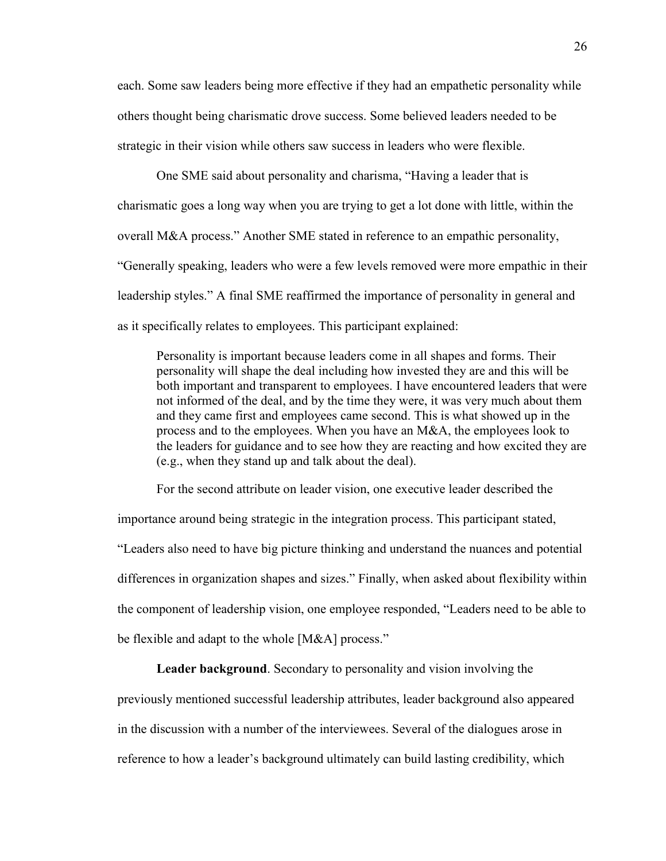each. Some saw leaders being more effective if they had an empathetic personality while others thought being charismatic drove success. Some believed leaders needed to be strategic in their vision while others saw success in leaders who were flexible.

One SME said about personality and charisma, "Having a leader that is charismatic goes a long way when you are trying to get a lot done with little, within the overall M&A process." Another SME stated in reference to an empathic personality, "Generally speaking, leaders who were a few levels removed were more empathic in their leadership styles." A final SME reaffirmed the importance of personality in general and as it specifically relates to employees. This participant explained:

Personality is important because leaders come in all shapes and forms. Their personality will shape the deal including how invested they are and this will be both important and transparent to employees. I have encountered leaders that were not informed of the deal, and by the time they were, it was very much about them and they came first and employees came second. This is what showed up in the process and to the employees. When you have an M&A, the employees look to the leaders for guidance and to see how they are reacting and how excited they are (e.g., when they stand up and talk about the deal).

For the second attribute on leader vision, one executive leader described the importance around being strategic in the integration process. This participant stated, "Leaders also need to have big picture thinking and understand the nuances and potential differences in organization shapes and sizes." Finally, when asked about flexibility within the component of leadership vision, one employee responded, "Leaders need to be able to be flexible and adapt to the whole [M&A] process."

**Leader background**. Secondary to personality and vision involving the

previously mentioned successful leadership attributes, leader background also appeared in the discussion with a number of the interviewees. Several of the dialogues arose in reference to how a leader's background ultimately can build lasting credibility, which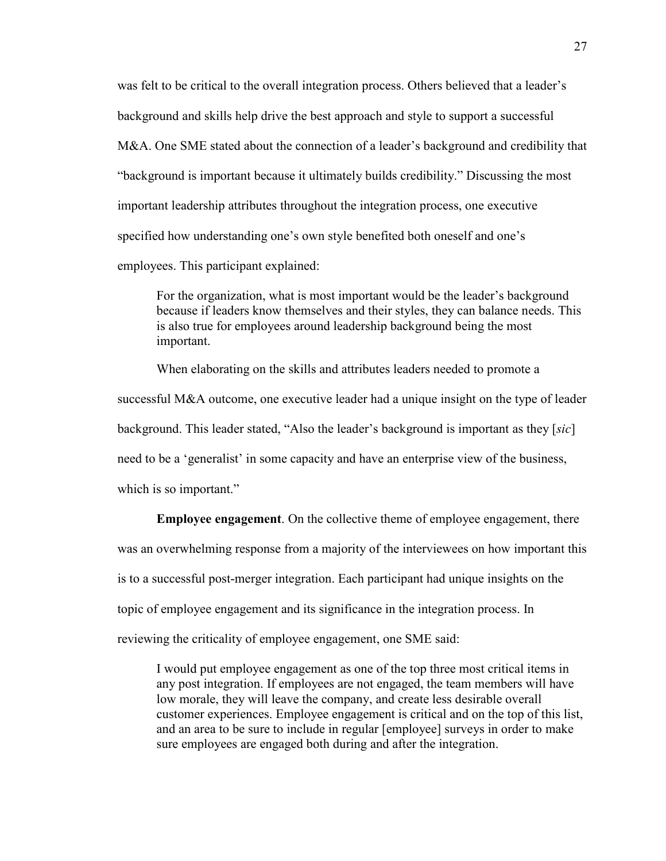was felt to be critical to the overall integration process. Others believed that a leader's background and skills help drive the best approach and style to support a successful M&A. One SME stated about the connection of a leader's background and credibility that "background is important because it ultimately builds credibility." Discussing the most important leadership attributes throughout the integration process, one executive specified how understanding one's own style benefited both oneself and one's employees. This participant explained:

For the organization, what is most important would be the leader's background because if leaders know themselves and their styles, they can balance needs. This is also true for employees around leadership background being the most important.

When elaborating on the skills and attributes leaders needed to promote a successful M&A outcome, one executive leader had a unique insight on the type of leader background. This leader stated, "Also the leader's background is important as they [*sic*] need to be a 'generalist' in some capacity and have an enterprise view of the business, which is so important."

**Employee engagement**. On the collective theme of employee engagement, there was an overwhelming response from a majority of the interviewees on how important this is to a successful post-merger integration. Each participant had unique insights on the topic of employee engagement and its significance in the integration process. In reviewing the criticality of employee engagement, one SME said:

I would put employee engagement as one of the top three most critical items in any post integration. If employees are not engaged, the team members will have low morale, they will leave the company, and create less desirable overall customer experiences. Employee engagement is critical and on the top of this list, and an area to be sure to include in regular [employee] surveys in order to make sure employees are engaged both during and after the integration.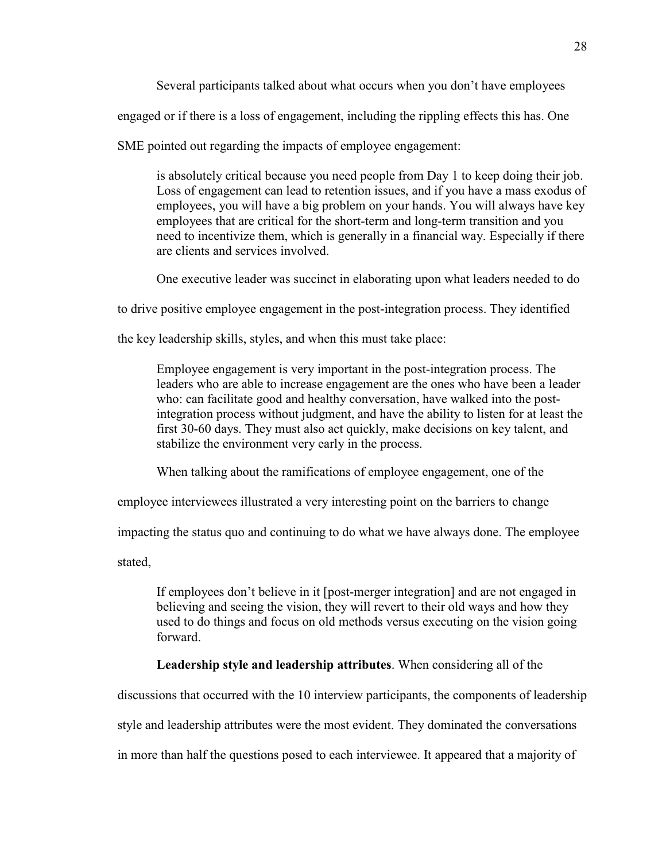Several participants talked about what occurs when you don't have employees

engaged or if there is a loss of engagement, including the rippling effects this has. One

SME pointed out regarding the impacts of employee engagement:

is absolutely critical because you need people from Day 1 to keep doing their job. Loss of engagement can lead to retention issues, and if you have a mass exodus of employees, you will have a big problem on your hands. You will always have key employees that are critical for the short-term and long-term transition and you need to incentivize them, which is generally in a financial way. Especially if there are clients and services involved.

One executive leader was succinct in elaborating upon what leaders needed to do

to drive positive employee engagement in the post-integration process. They identified

the key leadership skills, styles, and when this must take place:

Employee engagement is very important in the post-integration process. The leaders who are able to increase engagement are the ones who have been a leader who: can facilitate good and healthy conversation, have walked into the postintegration process without judgment, and have the ability to listen for at least the first 30-60 days. They must also act quickly, make decisions on key talent, and stabilize the environment very early in the process.

When talking about the ramifications of employee engagement, one of the

employee interviewees illustrated a very interesting point on the barriers to change

impacting the status quo and continuing to do what we have always done. The employee

stated,

If employees don't believe in it [post-merger integration] and are not engaged in believing and seeing the vision, they will revert to their old ways and how they used to do things and focus on old methods versus executing on the vision going forward.

# **Leadership style and leadership attributes**. When considering all of the

discussions that occurred with the 10 interview participants, the components of leadership

style and leadership attributes were the most evident. They dominated the conversations

in more than half the questions posed to each interviewee. It appeared that a majority of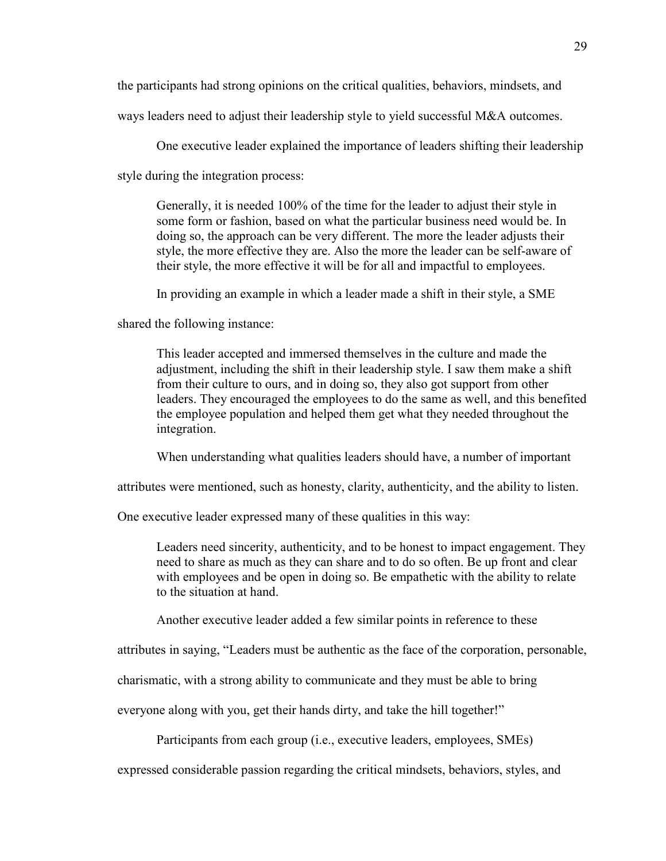the participants had strong opinions on the critical qualities, behaviors, mindsets, and

ways leaders need to adjust their leadership style to yield successful M&A outcomes.

One executive leader explained the importance of leaders shifting their leadership

style during the integration process:

Generally, it is needed 100% of the time for the leader to adjust their style in some form or fashion, based on what the particular business need would be. In doing so, the approach can be very different. The more the leader adjusts their style, the more effective they are. Also the more the leader can be self-aware of their style, the more effective it will be for all and impactful to employees.

In providing an example in which a leader made a shift in their style, a SME

shared the following instance:

This leader accepted and immersed themselves in the culture and made the adjustment, including the shift in their leadership style. I saw them make a shift from their culture to ours, and in doing so, they also got support from other leaders. They encouraged the employees to do the same as well, and this benefited the employee population and helped them get what they needed throughout the integration.

When understanding what qualities leaders should have, a number of important

attributes were mentioned, such as honesty, clarity, authenticity, and the ability to listen.

One executive leader expressed many of these qualities in this way:

Leaders need sincerity, authenticity, and to be honest to impact engagement. They need to share as much as they can share and to do so often. Be up front and clear with employees and be open in doing so. Be empathetic with the ability to relate to the situation at hand.

Another executive leader added a few similar points in reference to these

attributes in saying, "Leaders must be authentic as the face of the corporation, personable,

charismatic, with a strong ability to communicate and they must be able to bring

everyone along with you, get their hands dirty, and take the hill together!"

Participants from each group (i.e., executive leaders, employees, SMEs)

expressed considerable passion regarding the critical mindsets, behaviors, styles, and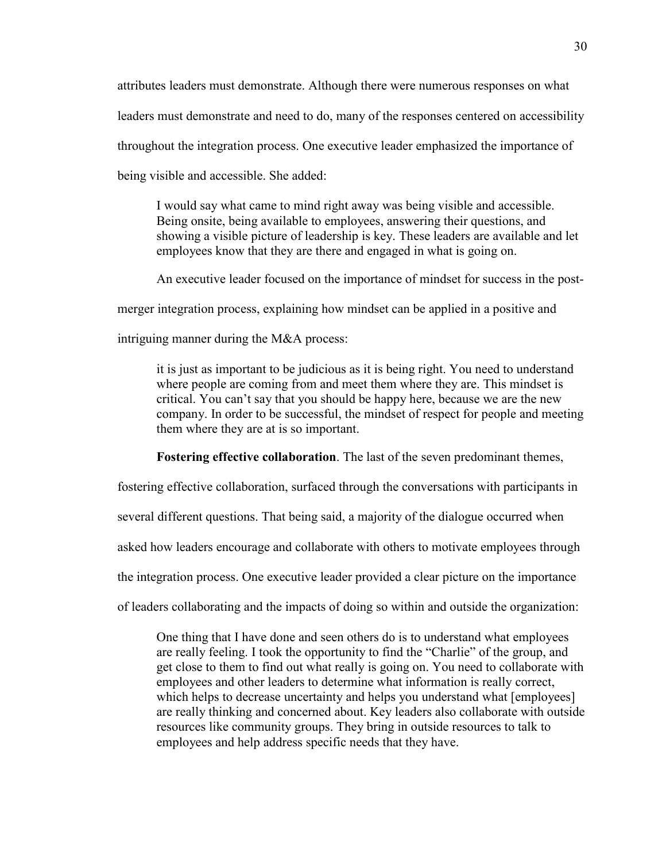attributes leaders must demonstrate. Although there were numerous responses on what leaders must demonstrate and need to do, many of the responses centered on accessibility throughout the integration process. One executive leader emphasized the importance of being visible and accessible. She added:

I would say what came to mind right away was being visible and accessible. Being onsite, being available to employees, answering their questions, and showing a visible picture of leadership is key. These leaders are available and let employees know that they are there and engaged in what is going on.

An executive leader focused on the importance of mindset for success in the post-

merger integration process, explaining how mindset can be applied in a positive and

intriguing manner during the M&A process:

it is just as important to be judicious as it is being right. You need to understand where people are coming from and meet them where they are. This mindset is critical. You can't say that you should be happy here, because we are the new company. In order to be successful, the mindset of respect for people and meeting them where they are at is so important.

**Fostering effective collaboration**. The last of the seven predominant themes,

fostering effective collaboration, surfaced through the conversations with participants in

several different questions. That being said, a majority of the dialogue occurred when

asked how leaders encourage and collaborate with others to motivate employees through

the integration process. One executive leader provided a clear picture on the importance

of leaders collaborating and the impacts of doing so within and outside the organization:

One thing that I have done and seen others do is to understand what employees are really feeling. I took the opportunity to find the "Charlie" of the group, and get close to them to find out what really is going on. You need to collaborate with employees and other leaders to determine what information is really correct, which helps to decrease uncertainty and helps you understand what [employees] are really thinking and concerned about. Key leaders also collaborate with outside resources like community groups. They bring in outside resources to talk to employees and help address specific needs that they have.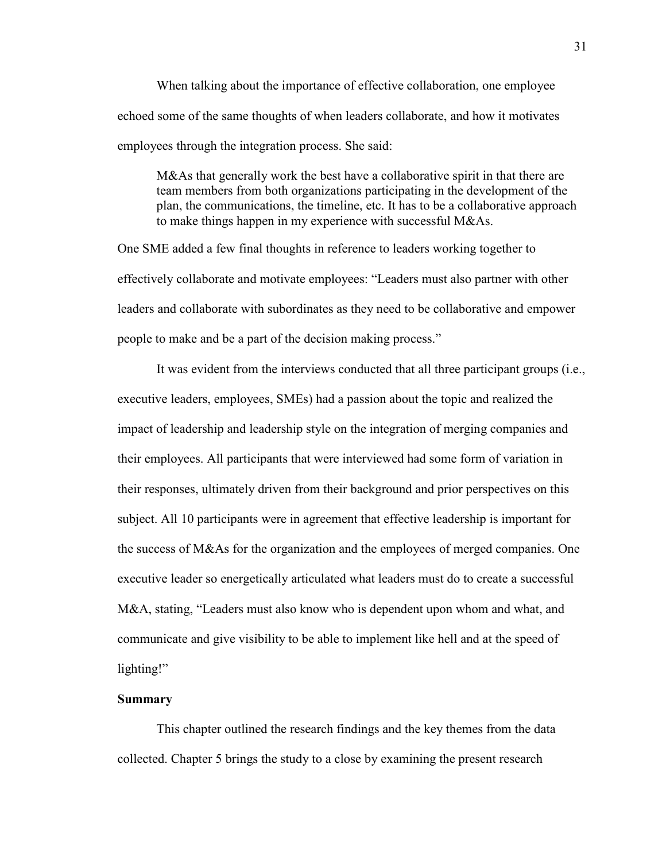When talking about the importance of effective collaboration, one employee echoed some of the same thoughts of when leaders collaborate, and how it motivates employees through the integration process. She said:

M&As that generally work the best have a collaborative spirit in that there are team members from both organizations participating in the development of the plan, the communications, the timeline, etc. It has to be a collaborative approach to make things happen in my experience with successful M&As.

One SME added a few final thoughts in reference to leaders working together to effectively collaborate and motivate employees: "Leaders must also partner with other leaders and collaborate with subordinates as they need to be collaborative and empower people to make and be a part of the decision making process."

It was evident from the interviews conducted that all three participant groups (i.e., executive leaders, employees, SMEs) had a passion about the topic and realized the impact of leadership and leadership style on the integration of merging companies and their employees. All participants that were interviewed had some form of variation in their responses, ultimately driven from their background and prior perspectives on this subject. All 10 participants were in agreement that effective leadership is important for the success of M&As for the organization and the employees of merged companies. One executive leader so energetically articulated what leaders must do to create a successful M&A, stating, "Leaders must also know who is dependent upon whom and what, and communicate and give visibility to be able to implement like hell and at the speed of lighting!"

# **Summary**

This chapter outlined the research findings and the key themes from the data collected. Chapter 5 brings the study to a close by examining the present research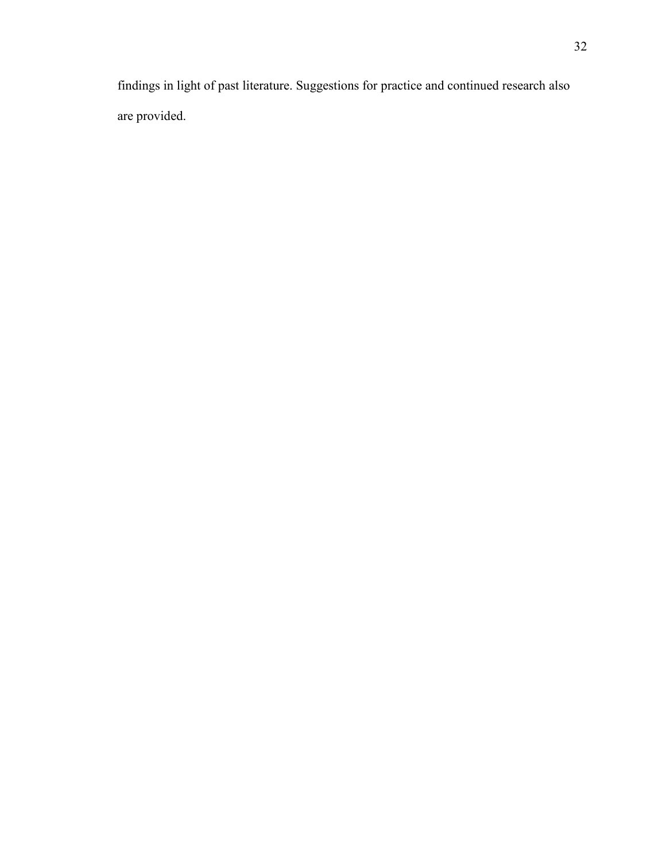findings in light of past literature. Suggestions for practice and continued research also are provided.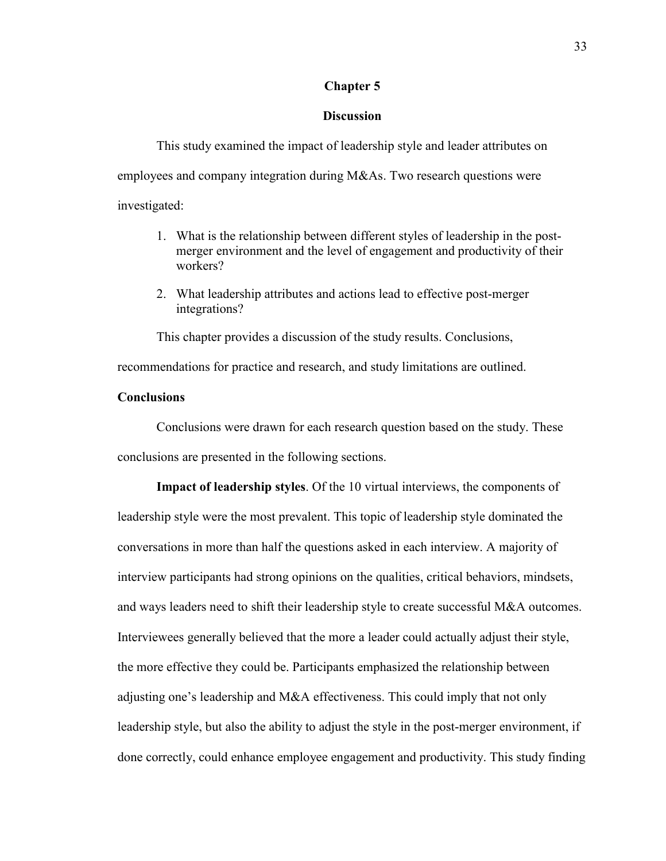# **Chapter 5**

# **Discussion**

This study examined the impact of leadership style and leader attributes on employees and company integration during M&As. Two research questions were investigated:

- 1. What is the relationship between different styles of leadership in the postmerger environment and the level of engagement and productivity of their workers?
- 2. What leadership attributes and actions lead to effective post-merger integrations?

This chapter provides a discussion of the study results. Conclusions,

recommendations for practice and research, and study limitations are outlined.

# **Conclusions**

Conclusions were drawn for each research question based on the study. These conclusions are presented in the following sections.

**Impact of leadership styles**. Of the 10 virtual interviews, the components of leadership style were the most prevalent. This topic of leadership style dominated the conversations in more than half the questions asked in each interview. A majority of interview participants had strong opinions on the qualities, critical behaviors, mindsets, and ways leaders need to shift their leadership style to create successful M&A outcomes. Interviewees generally believed that the more a leader could actually adjust their style, the more effective they could be. Participants emphasized the relationship between adjusting one's leadership and M&A effectiveness. This could imply that not only leadership style, but also the ability to adjust the style in the post-merger environment, if done correctly, could enhance employee engagement and productivity. This study finding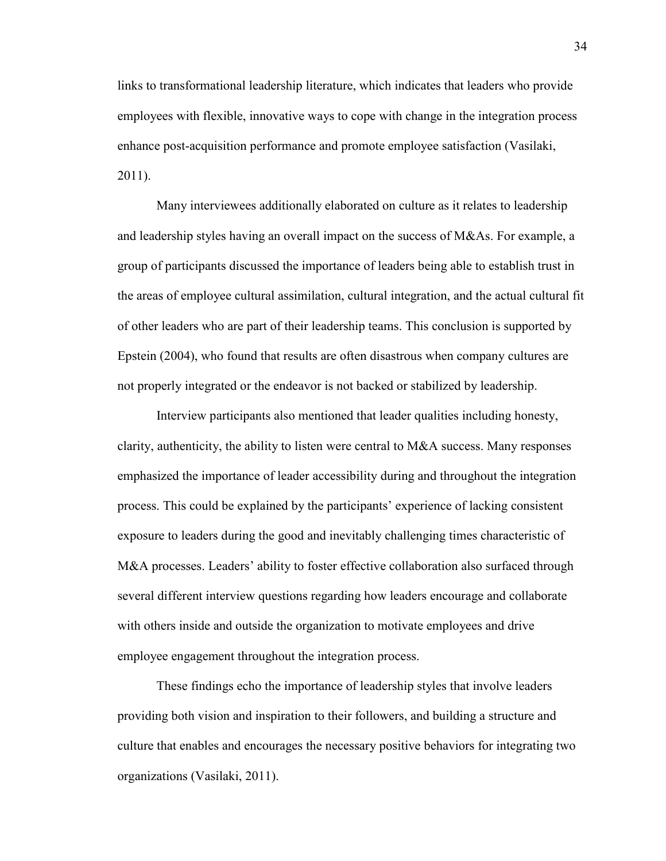links to transformational leadership literature, which indicates that leaders who provide employees with flexible, innovative ways to cope with change in the integration process enhance post-acquisition performance and promote employee satisfaction (Vasilaki, 2011).

Many interviewees additionally elaborated on culture as it relates to leadership and leadership styles having an overall impact on the success of M&As. For example, a group of participants discussed the importance of leaders being able to establish trust in the areas of employee cultural assimilation, cultural integration, and the actual cultural fit of other leaders who are part of their leadership teams. This conclusion is supported by Epstein (2004), who found that results are often disastrous when company cultures are not properly integrated or the endeavor is not backed or stabilized by leadership.

Interview participants also mentioned that leader qualities including honesty, clarity, authenticity, the ability to listen were central to M&A success. Many responses emphasized the importance of leader accessibility during and throughout the integration process. This could be explained by the participants' experience of lacking consistent exposure to leaders during the good and inevitably challenging times characteristic of M&A processes. Leaders' ability to foster effective collaboration also surfaced through several different interview questions regarding how leaders encourage and collaborate with others inside and outside the organization to motivate employees and drive employee engagement throughout the integration process.

These findings echo the importance of leadership styles that involve leaders providing both vision and inspiration to their followers, and building a structure and culture that enables and encourages the necessary positive behaviors for integrating two organizations (Vasilaki, 2011).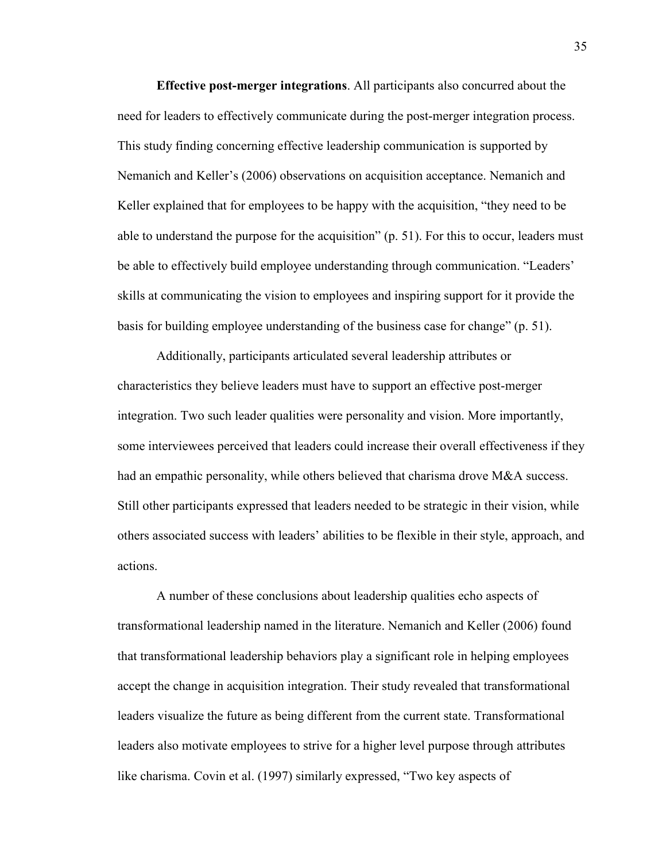**Effective post-merger integrations**. All participants also concurred about the need for leaders to effectively communicate during the post-merger integration process. This study finding concerning effective leadership communication is supported by Nemanich and Keller's (2006) observations on acquisition acceptance. Nemanich and Keller explained that for employees to be happy with the acquisition, "they need to be able to understand the purpose for the acquisition" (p. 51). For this to occur, leaders must be able to effectively build employee understanding through communication. "Leaders' skills at communicating the vision to employees and inspiring support for it provide the basis for building employee understanding of the business case for change" (p. 51).

Additionally, participants articulated several leadership attributes or characteristics they believe leaders must have to support an effective post-merger integration. Two such leader qualities were personality and vision. More importantly, some interviewees perceived that leaders could increase their overall effectiveness if they had an empathic personality, while others believed that charisma drove M&A success. Still other participants expressed that leaders needed to be strategic in their vision, while others associated success with leaders' abilities to be flexible in their style, approach, and actions.

A number of these conclusions about leadership qualities echo aspects of transformational leadership named in the literature. Nemanich and Keller (2006) found that transformational leadership behaviors play a significant role in helping employees accept the change in acquisition integration. Their study revealed that transformational leaders visualize the future as being different from the current state. Transformational leaders also motivate employees to strive for a higher level purpose through attributes like charisma. Covin et al. (1997) similarly expressed, "Two key aspects of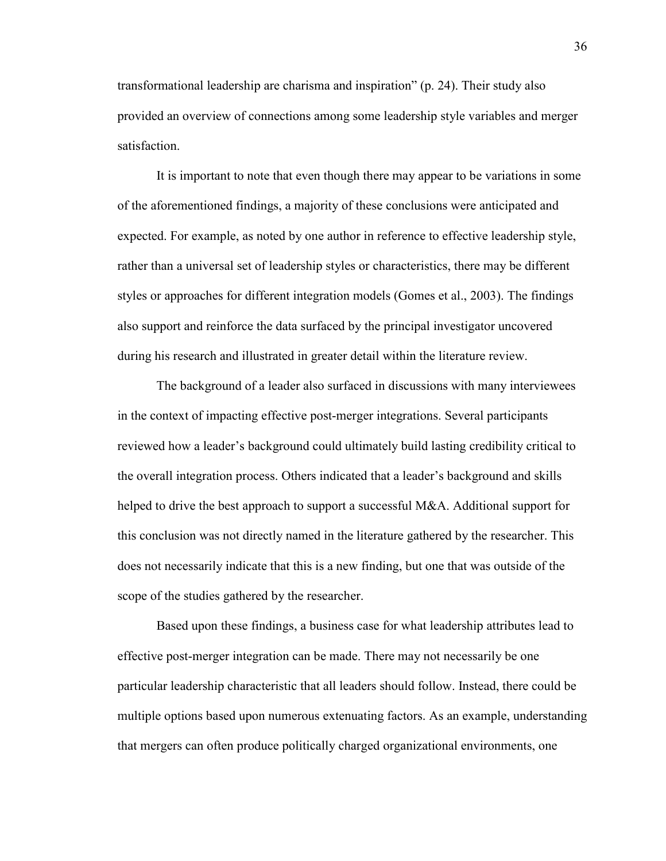transformational leadership are charisma and inspiration" (p. 24). Their study also provided an overview of connections among some leadership style variables and merger satisfaction.

It is important to note that even though there may appear to be variations in some of the aforementioned findings, a majority of these conclusions were anticipated and expected. For example, as noted by one author in reference to effective leadership style, rather than a universal set of leadership styles or characteristics, there may be different styles or approaches for different integration models (Gomes et al., 2003). The findings also support and reinforce the data surfaced by the principal investigator uncovered during his research and illustrated in greater detail within the literature review.

The background of a leader also surfaced in discussions with many interviewees in the context of impacting effective post-merger integrations. Several participants reviewed how a leader's background could ultimately build lasting credibility critical to the overall integration process. Others indicated that a leader's background and skills helped to drive the best approach to support a successful M&A. Additional support for this conclusion was not directly named in the literature gathered by the researcher. This does not necessarily indicate that this is a new finding, but one that was outside of the scope of the studies gathered by the researcher.

Based upon these findings, a business case for what leadership attributes lead to effective post-merger integration can be made. There may not necessarily be one particular leadership characteristic that all leaders should follow. Instead, there could be multiple options based upon numerous extenuating factors. As an example, understanding that mergers can often produce politically charged organizational environments, one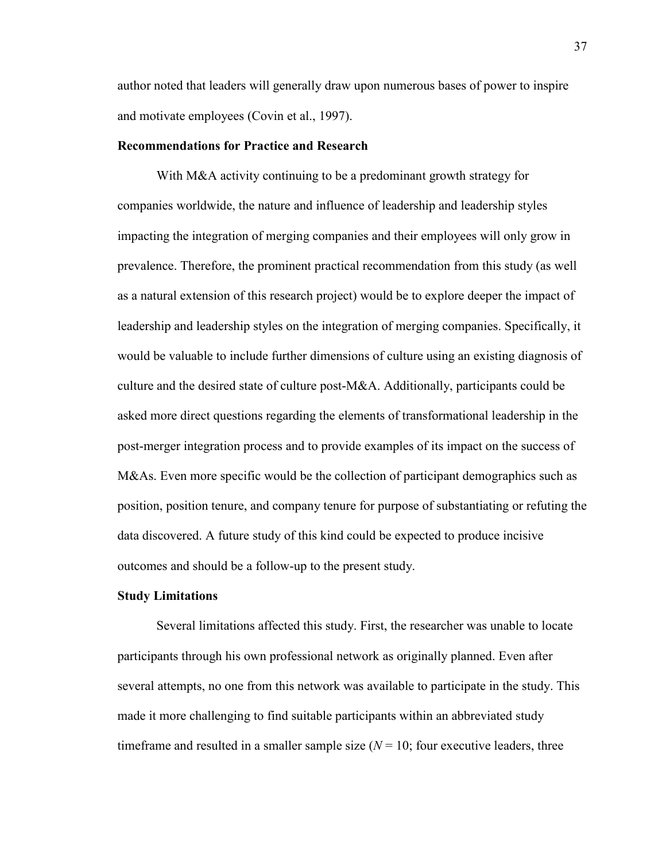author noted that leaders will generally draw upon numerous bases of power to inspire and motivate employees (Covin et al., 1997).

### **Recommendations for Practice and Research**

With M&A activity continuing to be a predominant growth strategy for companies worldwide, the nature and influence of leadership and leadership styles impacting the integration of merging companies and their employees will only grow in prevalence. Therefore, the prominent practical recommendation from this study (as well as a natural extension of this research project) would be to explore deeper the impact of leadership and leadership styles on the integration of merging companies. Specifically, it would be valuable to include further dimensions of culture using an existing diagnosis of culture and the desired state of culture post-M&A. Additionally, participants could be asked more direct questions regarding the elements of transformational leadership in the post-merger integration process and to provide examples of its impact on the success of M&As. Even more specific would be the collection of participant demographics such as position, position tenure, and company tenure for purpose of substantiating or refuting the data discovered. A future study of this kind could be expected to produce incisive outcomes and should be a follow-up to the present study.

#### **Study Limitations**

Several limitations affected this study. First, the researcher was unable to locate participants through his own professional network as originally planned. Even after several attempts, no one from this network was available to participate in the study. This made it more challenging to find suitable participants within an abbreviated study timeframe and resulted in a smaller sample size  $(N = 10)$ ; four executive leaders, three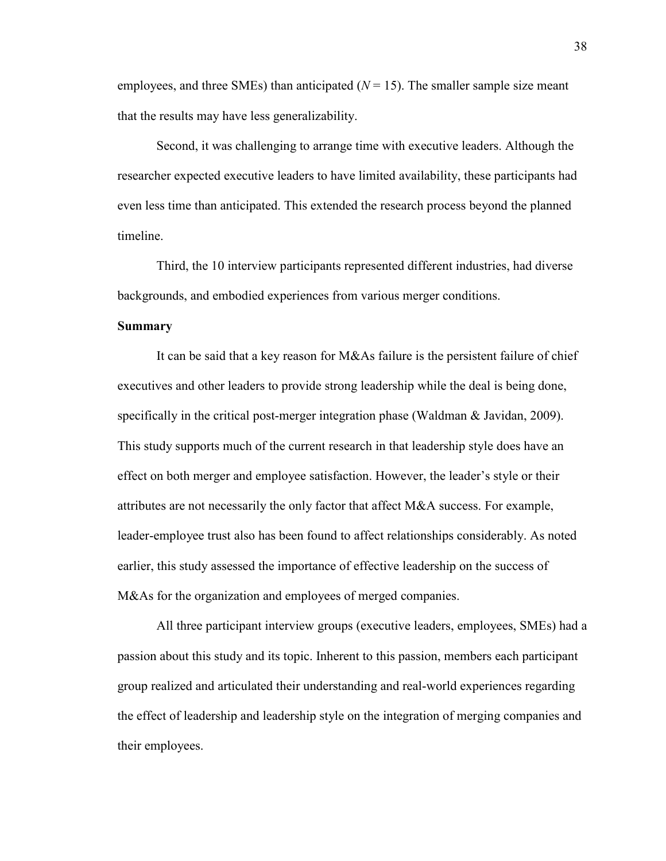employees, and three SMEs) than anticipated  $(N = 15)$ . The smaller sample size meant that the results may have less generalizability.

Second, it was challenging to arrange time with executive leaders. Although the researcher expected executive leaders to have limited availability, these participants had even less time than anticipated. This extended the research process beyond the planned timeline.

Third, the 10 interview participants represented different industries, had diverse backgrounds, and embodied experiences from various merger conditions.

# **Summary**

It can be said that a key reason for M&As failure is the persistent failure of chief executives and other leaders to provide strong leadership while the deal is being done, specifically in the critical post-merger integration phase (Waldman & Javidan, 2009). This study supports much of the current research in that leadership style does have an effect on both merger and employee satisfaction. However, the leader's style or their attributes are not necessarily the only factor that affect M&A success. For example, leader-employee trust also has been found to affect relationships considerably. As noted earlier, this study assessed the importance of effective leadership on the success of M&As for the organization and employees of merged companies.

All three participant interview groups (executive leaders, employees, SMEs) had a passion about this study and its topic. Inherent to this passion, members each participant group realized and articulated their understanding and real-world experiences regarding the effect of leadership and leadership style on the integration of merging companies and their employees.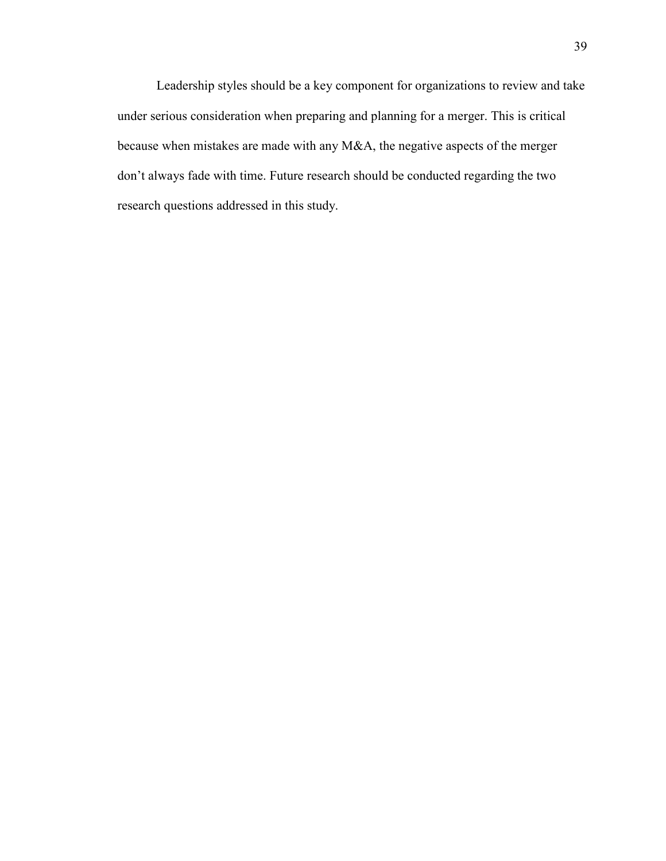Leadership styles should be a key component for organizations to review and take under serious consideration when preparing and planning for a merger. This is critical because when mistakes are made with any M&A, the negative aspects of the merger don't always fade with time. Future research should be conducted regarding the two research questions addressed in this study.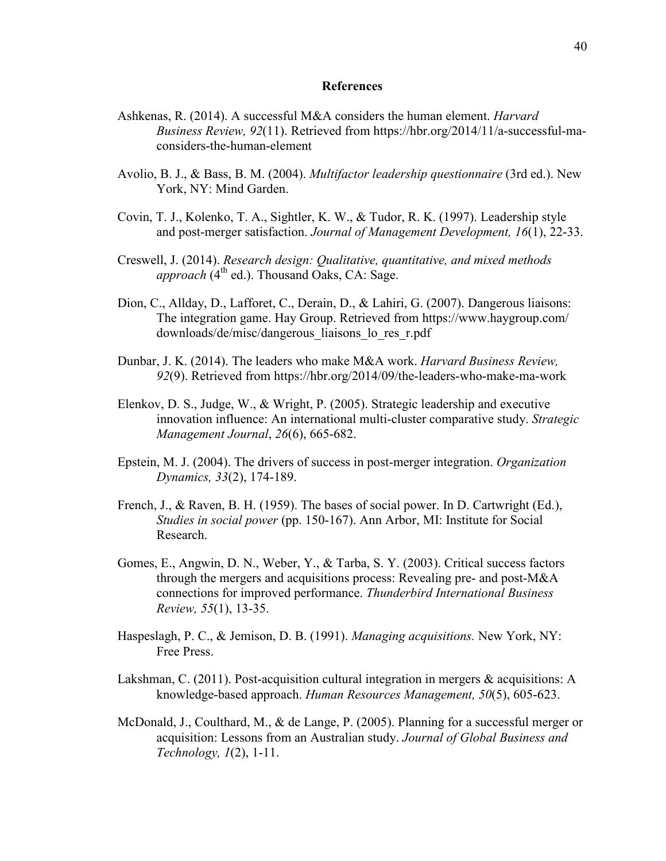#### **References**

- Ashkenas, R. (2014). A successful M&A considers the human element. *Harvard Business Review, 92*(11). Retrieved from https://hbr.org/2014/11/a-successful-maconsiders-the-human-element
- Avolio, B. J., & Bass, B. M. (2004). *Multifactor leadership questionnaire* (3rd ed.). New York, NY: Mind Garden.
- Covin, T. J., Kolenko, T. A., Sightler, K. W., & Tudor, R. K. (1997). Leadership style and post-merger satisfaction. *Journal of Management Development, 16*(1), 22-33.
- Creswell, J. (2014). *Research design: Qualitative, quantitative, and mixed methods approach* ( $4<sup>th</sup>$  ed.). Thousand Oaks, CA: Sage.
- Dion, C., Allday, D., Lafforet, C., Derain, D., & Lahiri, G. (2007). Dangerous liaisons: The integration game. Hay Group. Retrieved from https://www.haygroup.com/ downloads/de/misc/dangerous\_liaisons\_lo\_res\_r.pdf
- Dunbar, J. K. (2014). The leaders who make M&A work. *Harvard Business Review, 92*(9). Retrieved from https://hbr.org/2014/09/the-leaders-who-make-ma-work
- Elenkov, D. S., Judge, W., & Wright, P. (2005). Strategic leadership and executive innovation influence: An international multi-cluster comparative study. *Strategic Management Journal*, *26*(6), 665-682.
- Epstein, M. J. (2004). The drivers of success in post-merger integration. *Organization Dynamics, 33*(2), 174-189.
- French, J., & Raven, B. H. (1959). The bases of social power. In D. Cartwright (Ed.), *Studies in social power* (pp. 150-167). Ann Arbor, MI: Institute for Social Research.
- Gomes, E., Angwin, D. N., Weber, Y., & Tarba, S. Y. (2003). Critical success factors through the mergers and acquisitions process: Revealing pre- and post-M&A connections for improved performance. *Thunderbird International Business Review, 55*(1), 13-35.
- Haspeslagh, P. C., & Jemison, D. B. (1991). *Managing acquisitions.* New York, NY: Free Press.
- Lakshman, C. (2011). Post-acquisition cultural integration in mergers & acquisitions: A knowledge-based approach. *Human Resources Management, 50*(5), 605-623.
- McDonald, J., Coulthard, M., & de Lange, P. (2005). Planning for a successful merger or acquisition: Lessons from an Australian study. *Journal of Global Business and Technology, 1*(2), 1-11.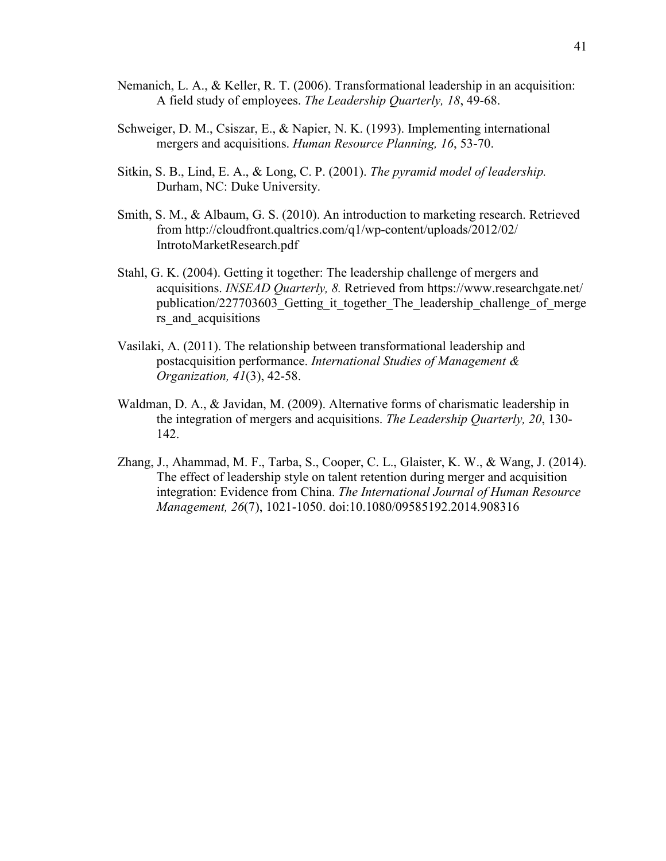- Nemanich, L. A., & Keller, R. T. (2006). Transformational leadership in an acquisition: A field study of employees. *The Leadership Quarterly, 18*, 49-68.
- Schweiger, D. M., Csiszar, E., & Napier, N. K. (1993). Implementing international mergers and acquisitions. *Human Resource Planning, 16*, 53-70.
- Sitkin, S. B., Lind, E. A., & Long, C. P. (2001). *The pyramid model of leadership.*  Durham, NC: Duke University.
- Smith, S. M., & Albaum, G. S. (2010). An introduction to marketing research. Retrieved from http://cloudfront.qualtrics.com/q1/wp-content/uploads/2012/02/ IntrotoMarketResearch.pdf
- Stahl, G. K. (2004). Getting it together: The leadership challenge of mergers and acquisitions. *INSEAD Quarterly, 8.* Retrieved from https://www.researchgate.net/ publication/227703603 Getting it together The leadership challenge of merge rs and acquisitions
- Vasilaki, A. (2011). The relationship between transformational leadership and postacquisition performance. *International Studies of Management & Organization, 41*(3), 42-58.
- Waldman, D. A., & Javidan, M. (2009). Alternative forms of charismatic leadership in the integration of mergers and acquisitions. *The Leadership Quarterly, 20*, 130- 142.
- Zhang, J., Ahammad, M. F., Tarba, S., Cooper, C. L., Glaister, K. W., & Wang, J. (2014). The effect of leadership style on talent retention during merger and acquisition integration: Evidence from China. *The International Journal of Human Resource Management, 26*(7), 1021-1050. doi:10.1080/09585192.2014.908316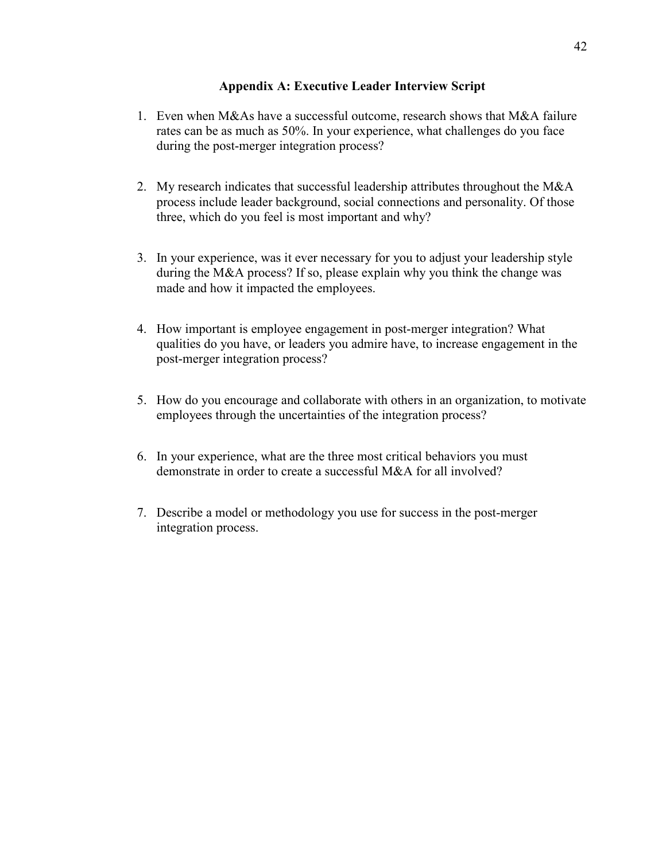# **Appendix A: Executive Leader Interview Script**

- 1. Even when M&As have a successful outcome, research shows that M&A failure rates can be as much as 50%. In your experience, what challenges do you face during the post-merger integration process?
- 2. My research indicates that successful leadership attributes throughout the M&A process include leader background, social connections and personality. Of those three, which do you feel is most important and why?
- 3. In your experience, was it ever necessary for you to adjust your leadership style during the M&A process? If so, please explain why you think the change was made and how it impacted the employees.
- 4. How important is employee engagement in post-merger integration? What qualities do you have, or leaders you admire have, to increase engagement in the post-merger integration process?
- 5. How do you encourage and collaborate with others in an organization, to motivate employees through the uncertainties of the integration process?
- 6. In your experience, what are the three most critical behaviors you must demonstrate in order to create a successful M&A for all involved?
- 7. Describe a model or methodology you use for success in the post-merger integration process.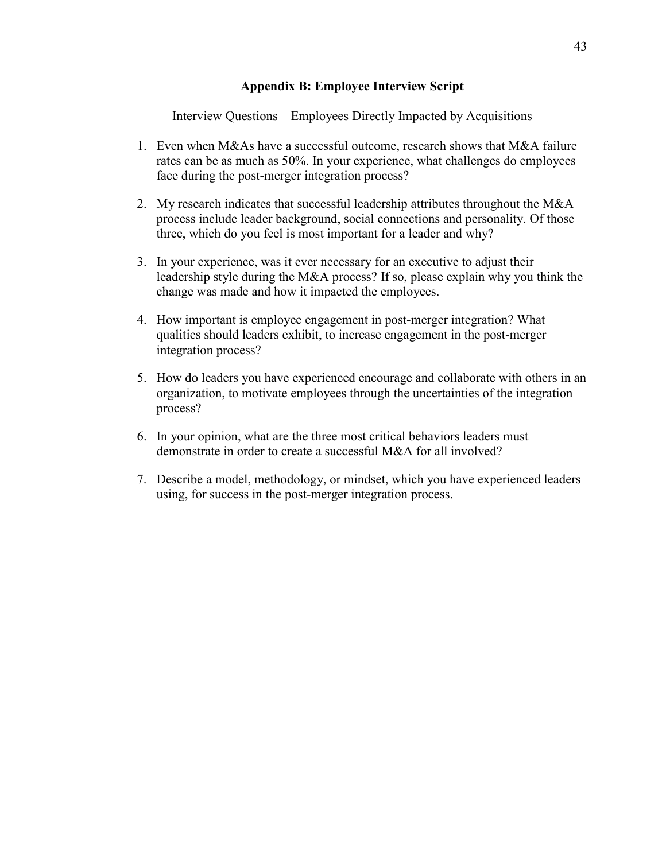# **Appendix B: Employee Interview Script**

Interview Questions – Employees Directly Impacted by Acquisitions

- 1. Even when M&As have a successful outcome, research shows that M&A failure rates can be as much as 50%. In your experience, what challenges do employees face during the post-merger integration process?
- 2. My research indicates that successful leadership attributes throughout the M&A process include leader background, social connections and personality. Of those three, which do you feel is most important for a leader and why?
- 3. In your experience, was it ever necessary for an executive to adjust their leadership style during the M&A process? If so, please explain why you think the change was made and how it impacted the employees.
- 4. How important is employee engagement in post-merger integration? What qualities should leaders exhibit, to increase engagement in the post-merger integration process?
- 5. How do leaders you have experienced encourage and collaborate with others in an organization, to motivate employees through the uncertainties of the integration process?
- 6. In your opinion, what are the three most critical behaviors leaders must demonstrate in order to create a successful M&A for all involved?
- 7. Describe a model, methodology, or mindset, which you have experienced leaders using, for success in the post-merger integration process.